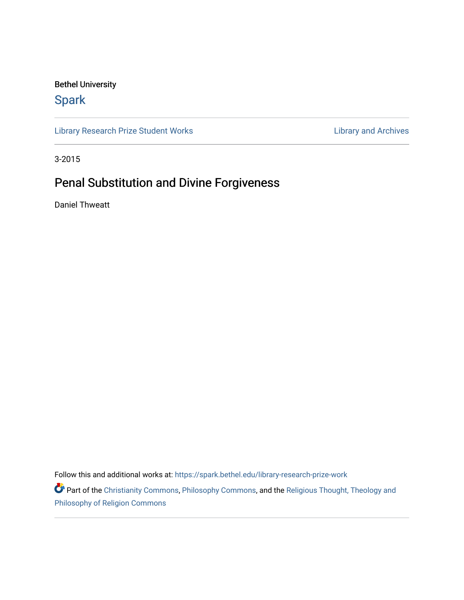## Bethel University

# [Spark](https://spark.bethel.edu/)

[Library Research Prize Student Works](https://spark.bethel.edu/library-research-prize-work) **Library Archives** Library and Archives

3-2015

# Penal Substitution and Divine Forgiveness

Daniel Thweatt

Follow this and additional works at: [https://spark.bethel.edu/library-research-prize-work](https://spark.bethel.edu/library-research-prize-work?utm_source=spark.bethel.edu%2Flibrary-research-prize-work%2F20&utm_medium=PDF&utm_campaign=PDFCoverPages) 

Part of the [Christianity Commons,](http://network.bepress.com/hgg/discipline/1181?utm_source=spark.bethel.edu%2Flibrary-research-prize-work%2F20&utm_medium=PDF&utm_campaign=PDFCoverPages) [Philosophy Commons](http://network.bepress.com/hgg/discipline/525?utm_source=spark.bethel.edu%2Flibrary-research-prize-work%2F20&utm_medium=PDF&utm_campaign=PDFCoverPages), and the Religious Thought, Theology and [Philosophy of Religion Commons](http://network.bepress.com/hgg/discipline/544?utm_source=spark.bethel.edu%2Flibrary-research-prize-work%2F20&utm_medium=PDF&utm_campaign=PDFCoverPages)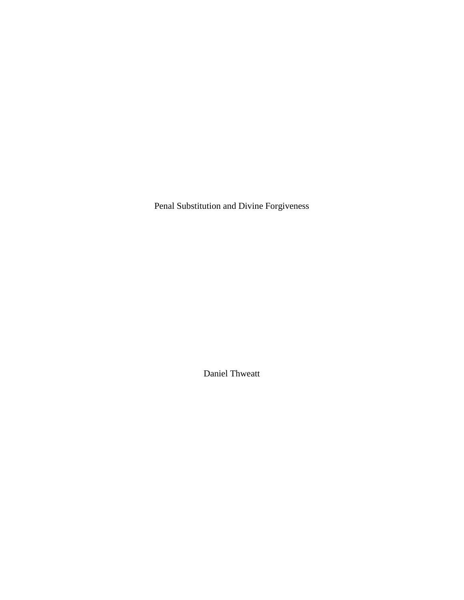Penal Substitution and Divine Forgiveness

Daniel Thweatt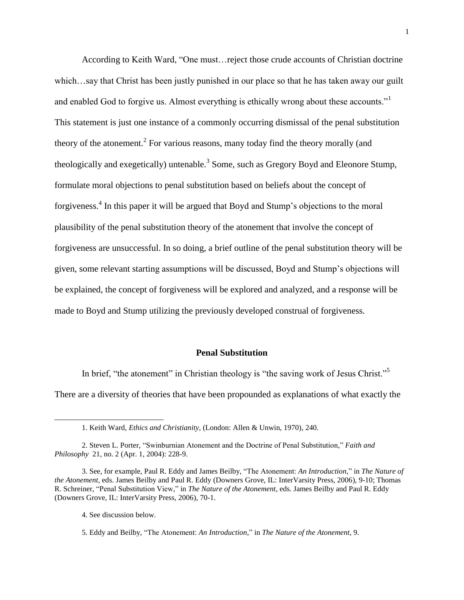According to Keith Ward, "One must…reject those crude accounts of Christian doctrine which…say that Christ has been justly punished in our place so that he has taken away our guilt and enabled God to forgive us. Almost everything is ethically wrong about these accounts." This statement is just one instance of a commonly occurring dismissal of the penal substitution theory of the atonement.<sup>2</sup> For various reasons, many today find the theory morally (and theologically and exegetically) untenable.<sup>3</sup> Some, such as Gregory Boyd and Eleonore Stump, formulate moral objections to penal substitution based on beliefs about the concept of forgiveness.<sup>4</sup> In this paper it will be argued that Boyd and Stump's objections to the moral plausibility of the penal substitution theory of the atonement that involve the concept of forgiveness are unsuccessful. In so doing, a brief outline of the penal substitution theory will be given, some relevant starting assumptions will be discussed, Boyd and Stump's objections will be explained, the concept of forgiveness will be explored and analyzed, and a response will be made to Boyd and Stump utilizing the previously developed construal of forgiveness.

#### **Penal Substitution**

In brief, "the atonement" in Christian theology is "the saving work of Jesus Christ."<sup>5</sup>

There are a diversity of theories that have been propounded as explanations of what exactly the

4. See discussion below.

<sup>1.</sup> Keith Ward, *Ethics and Christianity*, (London: Allen & Unwin, 1970), 240.

<sup>2.</sup> Steven L. Porter, "Swinburnian Atonement and the Doctrine of Penal Substitution," *Faith and Philosophy* 21, no. 2 (Apr. 1, 2004): 228-9.

<sup>3.</sup> See, for example, Paul R. Eddy and James Beilby, "The Atonement: *An Introduction*," in *The Nature of the Atonement*, eds. James Beilby and Paul R. Eddy (Downers Grove, IL: InterVarsity Press, 2006), 9-10; Thomas R. Schreiner, "Penal Substitution View," in *The Nature of the Atonement*, eds. James Beilby and Paul R. Eddy (Downers Grove, IL: InterVarsity Press, 2006), 70-1.

<sup>5.</sup> Eddy and Beilby, "The Atonement: *An Introduction*," in *The Nature of the Atonement*, 9.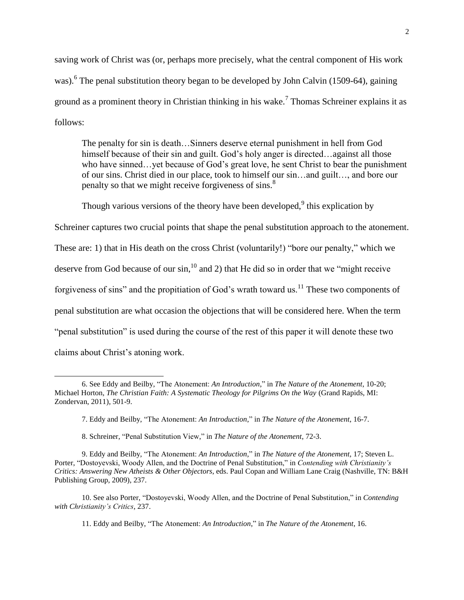saving work of Christ was (or, perhaps more precisely, what the central component of His work was).<sup>6</sup> The penal substitution theory began to be developed by John Calvin (1509-64), gaining ground as a prominent theory in Christian thinking in his wake.<sup>7</sup> Thomas Schreiner explains it as follows:

The penalty for sin is death…Sinners deserve eternal punishment in hell from God himself because of their sin and guilt. God's holy anger is directed...against all those who have sinned…yet because of God's great love, he sent Christ to bear the punishment of our sins. Christ died in our place, took to himself our sin…and guilt…, and bore our penalty so that we might receive forgiveness of sins.<sup>8</sup>

Though various versions of the theory have been developed,  $9$  this explication by

Schreiner captures two crucial points that shape the penal substitution approach to the atonement. These are: 1) that in His death on the cross Christ (voluntarily!) "bore our penalty," which we deserve from God because of our  $sin$ ,<sup>10</sup> and 2) that He did so in order that we "might receive" forgiveness of sins" and the propitiation of God's wrath toward us.<sup>11</sup> These two components of penal substitution are what occasion the objections that will be considered here. When the term "penal substitution" is used during the course of the rest of this paper it will denote these two claims about Christ's atoning work.

8. Schreiner, "Penal Substitution View," in *The Nature of the Atonement*, 72-3.

l

11. Eddy and Beilby, "The Atonement: *An Introduction*," in *The Nature of the Atonement*, 16.

<sup>6.</sup> See Eddy and Beilby, "The Atonement: *An Introduction*," in *The Nature of the Atonement*, 10-20; Michael Horton, *The Christian Faith: A Systematic Theology for Pilgrims On the Way* (Grand Rapids, MI: Zondervan, 2011), 501-9.

<sup>7.</sup> Eddy and Beilby, "The Atonement: *An Introduction*," in *The Nature of the Atonement*, 16-7.

<sup>9.</sup> Eddy and Beilby, "The Atonement: *An Introduction*," in *The Nature of the Atonement*, 17; Steven L. Porter, "Dostoyevski, Woody Allen, and the Doctrine of Penal Substitution," in *Contending with Christianity's Critics: Answering New Atheists & Other Objectors*, eds. Paul Copan and William Lane Craig (Nashville, TN: B&H Publishing Group, 2009), 237.

<sup>10.</sup> See also Porter, "Dostoyevski, Woody Allen, and the Doctrine of Penal Substitution," in *Contending with Christianity's Critics*, 237.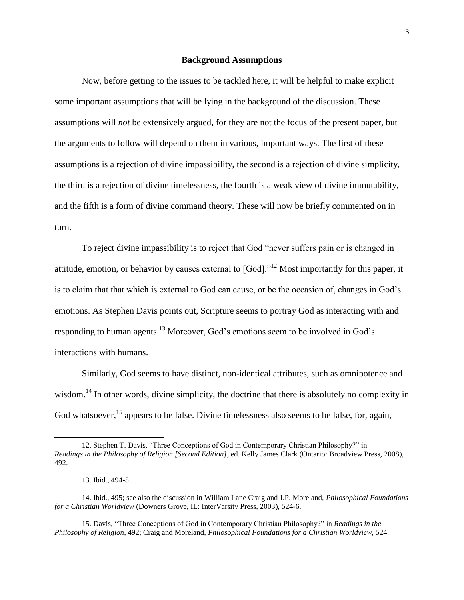#### **Background Assumptions**

Now, before getting to the issues to be tackled here, it will be helpful to make explicit some important assumptions that will be lying in the background of the discussion. These assumptions will *not* be extensively argued, for they are not the focus of the present paper, but the arguments to follow will depend on them in various, important ways. The first of these assumptions is a rejection of divine impassibility, the second is a rejection of divine simplicity, the third is a rejection of divine timelessness, the fourth is a weak view of divine immutability, and the fifth is a form of divine command theory. These will now be briefly commented on in turn.

To reject divine impassibility is to reject that God "never suffers pain or is changed in attitude, emotion, or behavior by causes external to [God]."<sup>12</sup> Most importantly for this paper, it is to claim that that which is external to God can cause, or be the occasion of, changes in God's emotions. As Stephen Davis points out, Scripture seems to portray God as interacting with and responding to human agents.<sup>13</sup> Moreover, God's emotions seem to be involved in God's interactions with humans.

Similarly, God seems to have distinct, non-identical attributes, such as omnipotence and wisdom.<sup>14</sup> In other words, divine simplicity, the doctrine that there is absolutely no complexity in God whatsoever,  $^{15}$  appears to be false. Divine timelessness also seems to be false, for, again,

<sup>12.</sup> Stephen T. Davis, "Three Conceptions of God in Contemporary Christian Philosophy?" in *Readings in the Philosophy of Religion [Second Edition]*, ed. Kelly James Clark (Ontario: Broadview Press, 2008), 492.

<sup>13.</sup> Ibid., 494-5.

<sup>14.</sup> Ibid., 495; see also the discussion in William Lane Craig and J.P. Moreland, *Philosophical Foundations for a Christian Worldview* (Downers Grove, IL: InterVarsity Press, 2003), 524-6.

<sup>15.</sup> Davis, "Three Conceptions of God in Contemporary Christian Philosophy?" in *Readings in the Philosophy of Religion*, 492; Craig and Moreland, *Philosophical Foundations for a Christian Worldview*, 524.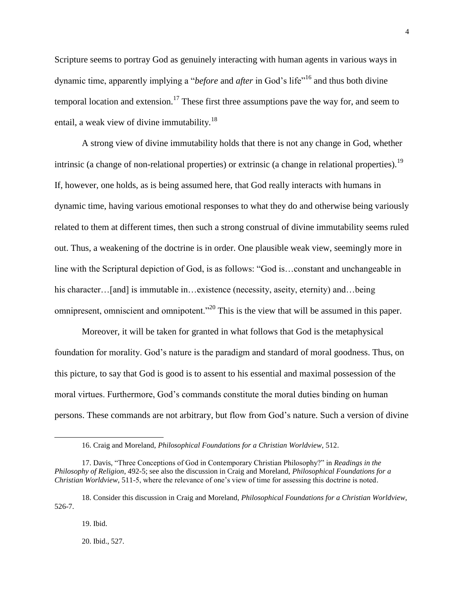Scripture seems to portray God as genuinely interacting with human agents in various ways in dynamic time, apparently implying a "*before* and *after* in God's life"<sup>16</sup> and thus both divine temporal location and extension.<sup>17</sup> These first three assumptions pave the way for, and seem to entail, a weak view of divine immutability.<sup>18</sup>

A strong view of divine immutability holds that there is not any change in God, whether intrinsic (a change of non-relational properties) or extrinsic (a change in relational properties).<sup>19</sup> If, however, one holds, as is being assumed here, that God really interacts with humans in dynamic time, having various emotional responses to what they do and otherwise being variously related to them at different times, then such a strong construal of divine immutability seems ruled out. Thus, a weakening of the doctrine is in order. One plausible weak view, seemingly more in line with the Scriptural depiction of God, is as follows: "God is…constant and unchangeable in his character…[and] is immutable in…existence (necessity, aseity, eternity) and…being omnipresent, omniscient and omnipotent."<sup>20</sup> This is the view that will be assumed in this paper.

Moreover, it will be taken for granted in what follows that God is the metaphysical foundation for morality. God's nature is the paradigm and standard of moral goodness. Thus, on this picture, to say that God is good is to assent to his essential and maximal possession of the moral virtues. Furthermore, God's commands constitute the moral duties binding on human persons. These commands are not arbitrary, but flow from God's nature. Such a version of divine

19. Ibid.

 $\overline{a}$ 

20. Ibid., 527.

<sup>16.</sup> Craig and Moreland, *Philosophical Foundations for a Christian Worldview*, 512.

<sup>17.</sup> Davis, "Three Conceptions of God in Contemporary Christian Philosophy?" in *Readings in the Philosophy of Religion*, 492-5; see also the discussion in Craig and Moreland, *Philosophical Foundations for a Christian Worldview*, 511-5, where the relevance of one's view of time for assessing this doctrine is noted.

<sup>18.</sup> Consider this discussion in Craig and Moreland, *Philosophical Foundations for a Christian Worldview*, 526-7.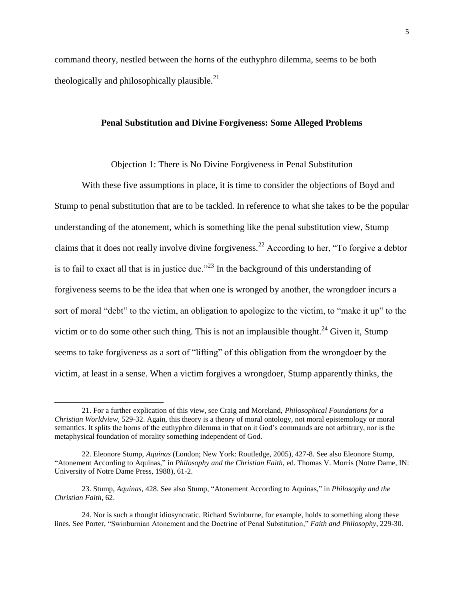command theory, nestled between the horns of the euthyphro dilemma, seems to be both theologically and philosophically plausible. $^{21}$ 

#### **Penal Substitution and Divine Forgiveness: Some Alleged Problems**

Objection 1: There is No Divine Forgiveness in Penal Substitution

With these five assumptions in place, it is time to consider the objections of Boyd and Stump to penal substitution that are to be tackled. In reference to what she takes to be the popular understanding of the atonement, which is something like the penal substitution view, Stump claims that it does not really involve divine forgiveness.<sup>22</sup> According to her, "To forgive a debtor is to fail to exact all that is in justice due."<sup>23</sup> In the background of this understanding of forgiveness seems to be the idea that when one is wronged by another, the wrongdoer incurs a sort of moral "debt" to the victim, an obligation to apologize to the victim, to "make it up" to the victim or to do some other such thing. This is not an implausible thought.<sup>24</sup> Given it, Stump seems to take forgiveness as a sort of "lifting" of this obligation from the wrongdoer by the victim, at least in a sense. When a victim forgives a wrongdoer, Stump apparently thinks, the

<sup>21.</sup> For a further explication of this view, see Craig and Moreland, *Philosophical Foundations for a Christian Worldview*, 529-32. Again, this theory is a theory of moral ontology, not moral epistemology or moral semantics. It splits the horns of the euthyphro dilemma in that on it God's commands are not arbitrary, nor is the metaphysical foundation of morality something independent of God.

<sup>22.</sup> Eleonore Stump, *Aquinas* (London; New York: Routledge, 2005), 427-8. See also Eleonore Stump, "Atonement According to Aquinas," in *Philosophy and the Christian Faith*, ed. Thomas V. Morris (Notre Dame, IN: University of Notre Dame Press, 1988), 61-2.

<sup>23.</sup> Stump, *Aquinas*, 428. See also Stump, "Atonement According to Aquinas," in *Philosophy and the Christian Faith*, 62.

<sup>24.</sup> Nor is such a thought idiosyncratic. Richard Swinburne, for example, holds to something along these lines. See Porter, "Swinburnian Atonement and the Doctrine of Penal Substitution," *Faith and Philosophy*, 229-30.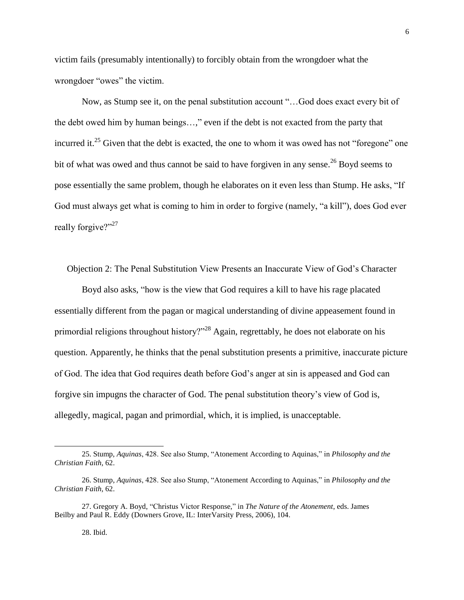victim fails (presumably intentionally) to forcibly obtain from the wrongdoer what the wrongdoer "owes" the victim.

Now, as Stump see it, on the penal substitution account "…God does exact every bit of the debt owed him by human beings…," even if the debt is not exacted from the party that incurred it.<sup>25</sup> Given that the debt is exacted, the one to whom it was owed has not "foregone" one bit of what was owed and thus cannot be said to have forgiven in any sense.<sup>26</sup> Boyd seems to pose essentially the same problem, though he elaborates on it even less than Stump. He asks, "If God must always get what is coming to him in order to forgive (namely, "a kill"), does God ever really forgive?"<sup>27</sup>

Objection 2: The Penal Substitution View Presents an Inaccurate View of God's Character

Boyd also asks, "how is the view that God requires a kill to have his rage placated essentially different from the pagan or magical understanding of divine appeasement found in primordial religions throughout history?"<sup>28</sup> Again, regrettably, he does not elaborate on his question. Apparently, he thinks that the penal substitution presents a primitive, inaccurate picture of God. The idea that God requires death before God's anger at sin is appeased and God can forgive sin impugns the character of God. The penal substitution theory's view of God is, allegedly, magical, pagan and primordial, which, it is implied, is unacceptable.

<sup>25.</sup> Stump, *Aquinas*, 428. See also Stump, "Atonement According to Aquinas," in *Philosophy and the Christian Faith*, 62.

<sup>26.</sup> Stump, *Aquinas*, 428. See also Stump, "Atonement According to Aquinas," in *Philosophy and the Christian Faith*, 62.

<sup>27.</sup> Gregory A. Boyd, "Christus Victor Response," in *The Nature of the Atonement*, eds. James Beilby and Paul R. Eddy (Downers Grove, IL: InterVarsity Press, 2006), 104.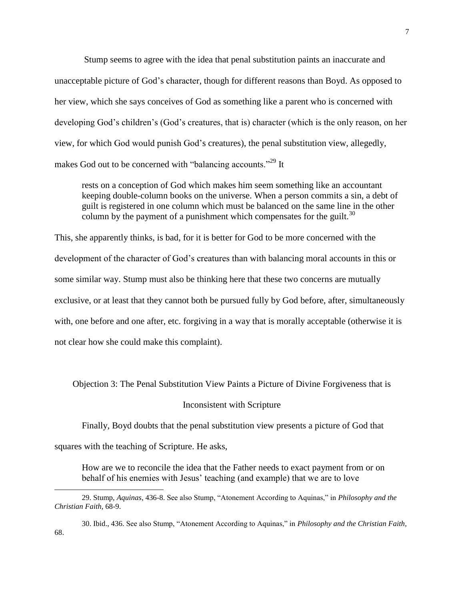Stump seems to agree with the idea that penal substitution paints an inaccurate and unacceptable picture of God's character, though for different reasons than Boyd. As opposed to her view, which she says conceives of God as something like a parent who is concerned with developing God's children's (God's creatures, that is) character (which is the only reason, on her view, for which God would punish God's creatures), the penal substitution view, allegedly, makes God out to be concerned with "balancing accounts."<sup>29</sup> It

rests on a conception of God which makes him seem something like an accountant keeping double-column books on the universe. When a person commits a sin, a debt of guilt is registered in one column which must be balanced on the same line in the other column by the payment of a punishment which compensates for the guilt.<sup>30</sup>

This, she apparently thinks, is bad, for it is better for God to be more concerned with the development of the character of God's creatures than with balancing moral accounts in this or some similar way. Stump must also be thinking here that these two concerns are mutually exclusive, or at least that they cannot both be pursued fully by God before, after, simultaneously with, one before and one after, etc. forgiving in a way that is morally acceptable (otherwise it is not clear how she could make this complaint).

Objection 3: The Penal Substitution View Paints a Picture of Divine Forgiveness that is

#### Inconsistent with Scripture

Finally, Boyd doubts that the penal substitution view presents a picture of God that

squares with the teaching of Scripture. He asks,

 $\overline{a}$ 

How are we to reconcile the idea that the Father needs to exact payment from or on behalf of his enemies with Jesus' teaching (and example) that we are to love

30. Ibid., 436. See also Stump, "Atonement According to Aquinas," in *Philosophy and the Christian Faith*, 68.

<sup>29.</sup> Stump, *Aquinas*, 436-8. See also Stump, "Atonement According to Aquinas," in *Philosophy and the Christian Faith*, 68-9.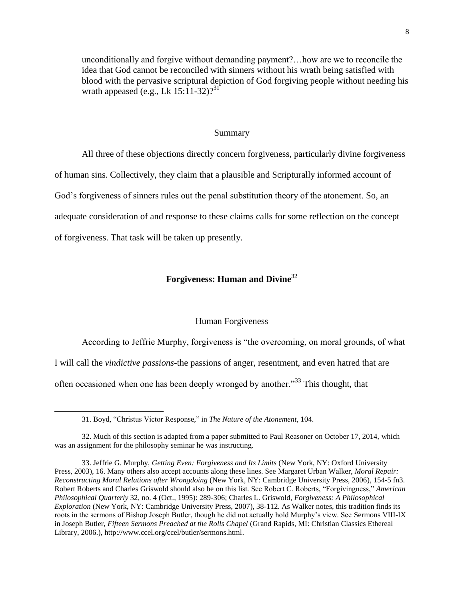unconditionally and forgive without demanding payment?…how are we to reconcile the idea that God cannot be reconciled with sinners without his wrath being satisfied with blood with the pervasive scriptural depiction of God forgiving people without needing his wrath appeased (e.g., Lk  $15:11-32$ )?<sup>31</sup>

#### Summary

All three of these objections directly concern forgiveness, particularly divine forgiveness of human sins. Collectively, they claim that a plausible and Scripturally informed account of God's forgiveness of sinners rules out the penal substitution theory of the atonement. So, an adequate consideration of and response to these claims calls for some reflection on the concept of forgiveness. That task will be taken up presently.

### **Forgiveness: Human and Divine**<sup>32</sup>

#### Human Forgiveness

According to Jeffrie Murphy, forgiveness is "the overcoming, on moral grounds, of what

I will call the *vindictive passions*-the passions of anger, resentment, and even hatred that are

often occasioned when one has been deeply wronged by another.<sup>33</sup> This thought, that

<sup>31.</sup> Boyd, "Christus Victor Response," in *The Nature of the Atonement*, 104.

<sup>32.</sup> Much of this section is adapted from a paper submitted to Paul Reasoner on October 17, 2014, which was an assignment for the philosophy seminar he was instructing.

<sup>33.</sup> Jeffrie G. Murphy, *Getting Even: Forgiveness and Its Limits* (New York, NY: Oxford University Press, 2003), 16. Many others also accept accounts along these lines. See Margaret Urban Walker, *Moral Repair: Reconstructing Moral Relations after Wrongdoing* (New York, NY: Cambridge University Press, 2006), 154-5 fn3. Robert Roberts and Charles Griswold should also be on this list. See Robert C. Roberts, "Forgivingness," *American Philosophical Quarterly* 32, no. 4 (Oct., 1995): 289-306; Charles L. Griswold, *Forgiveness: A Philosophical Exploration* (New York, NY: Cambridge University Press, 2007), 38-112. As Walker notes, this tradition finds its roots in the sermons of Bishop Joseph Butler, though he did not actually hold Murphy's view. See Sermons VIII-IX in Joseph Butler, *Fifteen Sermons Preached at the Rolls Chapel* (Grand Rapids, MI: Christian Classics Ethereal Library, 2006.), http://www.ccel.org/ccel/butler/sermons.html.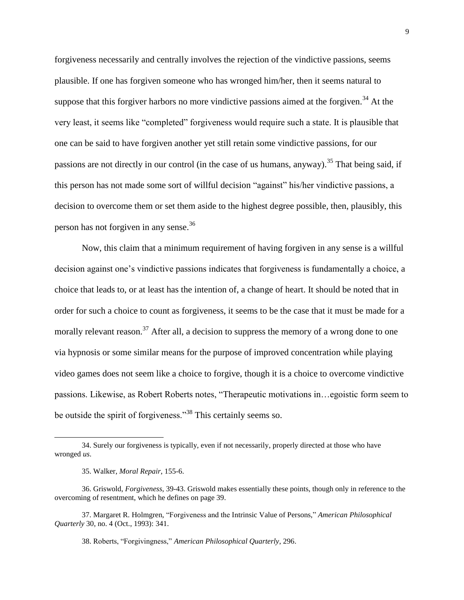forgiveness necessarily and centrally involves the rejection of the vindictive passions, seems plausible. If one has forgiven someone who has wronged him/her, then it seems natural to suppose that this forgiver harbors no more vindictive passions aimed at the forgiven.<sup>34</sup> At the very least, it seems like "completed" forgiveness would require such a state. It is plausible that one can be said to have forgiven another yet still retain some vindictive passions, for our passions are not directly in our control (in the case of us humans, anyway).<sup>35</sup> That being said, if this person has not made some sort of willful decision "against" his/her vindictive passions, a decision to overcome them or set them aside to the highest degree possible, then, plausibly, this person has not forgiven in any sense.<sup>36</sup>

Now, this claim that a minimum requirement of having forgiven in any sense is a willful decision against one's vindictive passions indicates that forgiveness is fundamentally a choice, a choice that leads to, or at least has the intention of, a change of heart. It should be noted that in order for such a choice to count as forgiveness, it seems to be the case that it must be made for a morally relevant reason.<sup>37</sup> After all, a decision to suppress the memory of a wrong done to one via hypnosis or some similar means for the purpose of improved concentration while playing video games does not seem like a choice to forgive, though it is a choice to overcome vindictive passions. Likewise, as Robert Roberts notes, "Therapeutic motivations in…egoistic form seem to be outside the spirit of forgiveness."<sup>38</sup> This certainly seems so.

<sup>34.</sup> Surely our forgiveness is typically, even if not necessarily, properly directed at those who have wronged *us*.

<sup>35.</sup> Walker, *Moral Repair*, 155-6.

<sup>36.</sup> Griswold, *Forgiveness*, 39-43. Griswold makes essentially these points, though only in reference to the overcoming of resentment, which he defines on page 39.

<sup>37.</sup> Margaret R. Holmgren, "Forgiveness and the Intrinsic Value of Persons," *American Philosophical Quarterly* 30, no. 4 (Oct., 1993): 341.

<sup>38.</sup> Roberts, "Forgivingness," *American Philosophical Quarterly*, 296.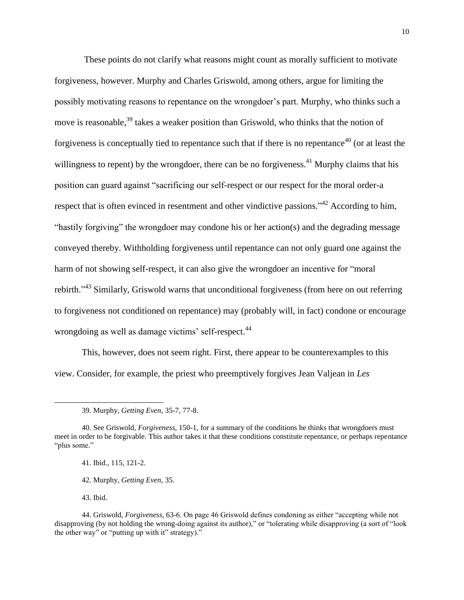These points do not clarify what reasons might count as morally sufficient to motivate forgiveness, however. Murphy and Charles Griswold, among others, argue for limiting the possibly motivating reasons to repentance on the wrongdoer's part. Murphy, who thinks such a move is reasonable,<sup>39</sup> takes a weaker position than Griswold, who thinks that the notion of forgiveness is conceptually tied to repentance such that if there is no repentance<sup>40</sup> (or at least the willingness to repent) by the wrongdoer, there can be no forgiveness.<sup>41</sup> Murphy claims that his position can guard against "sacrificing our self-respect or our respect for the moral order-a respect that is often evinced in resentment and other vindictive passions."<sup>42</sup> According to him, "hastily forgiving" the wrongdoer may condone his or her action(s) and the degrading message conveyed thereby. Withholding forgiveness until repentance can not only guard one against the harm of not showing self-respect, it can also give the wrongdoer an incentive for "moral rebirth."<sup>43</sup> Similarly, Griswold warns that unconditional forgiveness (from here on out referring to forgiveness not conditioned on repentance) may (probably will, in fact) condone or encourage wrongdoing as well as damage victims' self-respect.<sup>44</sup>

This, however, does not seem right. First, there appear to be counterexamples to this view. Consider, for example, the priest who preemptively forgives Jean Valjean in *Les* 

41. Ibid., 115, 121-2.

42. Murphy, *Getting Even*, 35.

43. Ibid.

<sup>39.</sup> Murphy, *Getting Even*, 35-7, 77-8.

<sup>40.</sup> See Griswold, *Forgiveness*, 150-1, for a summary of the conditions he thinks that wrongdoers must meet in order to be forgivable. This author takes it that these conditions constitute repentance, or perhaps repentance "plus some."

<sup>44.</sup> Griswold, *Forgiveness*, 63-6. On page 46 Griswold defines condoning as either "accepting while not disapproving (by not holding the wrong-doing against its author)," or "tolerating while disapproving (a sort of "look the other way" or "putting up with it" strategy)."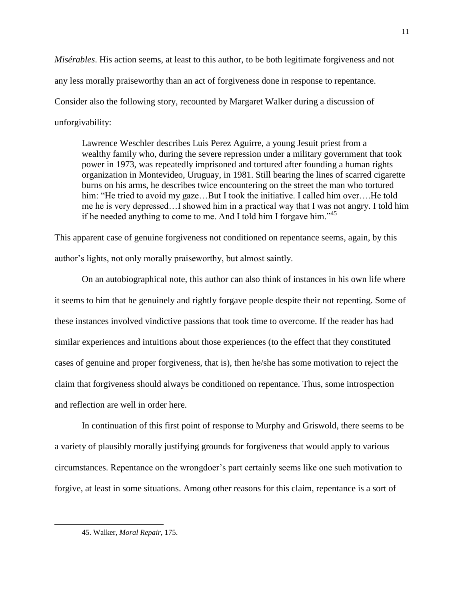*Misérables*. His action seems, at least to this author, to be both legitimate forgiveness and not any less morally praiseworthy than an act of forgiveness done in response to repentance. Consider also the following story, recounted by Margaret Walker during a discussion of unforgivability:

Lawrence Weschler describes Luis Perez Aguirre, a young Jesuit priest from a wealthy family who, during the severe repression under a military government that took power in 1973, was repeatedly imprisoned and tortured after founding a human rights organization in Montevideo, Uruguay, in 1981. Still bearing the lines of scarred cigarette burns on his arms, he describes twice encountering on the street the man who tortured him: "He tried to avoid my gaze...But I took the initiative. I called him over....He told me he is very depressed…I showed him in a practical way that I was not angry. I told him if he needed anything to come to me. And I told him I forgave him.<sup> $35$ </sup>

This apparent case of genuine forgiveness not conditioned on repentance seems, again, by this author's lights, not only morally praiseworthy, but almost saintly.

On an autobiographical note, this author can also think of instances in his own life where it seems to him that he genuinely and rightly forgave people despite their not repenting. Some of these instances involved vindictive passions that took time to overcome. If the reader has had similar experiences and intuitions about those experiences (to the effect that they constituted cases of genuine and proper forgiveness, that is), then he/she has some motivation to reject the claim that forgiveness should always be conditioned on repentance. Thus, some introspection and reflection are well in order here.

In continuation of this first point of response to Murphy and Griswold, there seems to be a variety of plausibly morally justifying grounds for forgiveness that would apply to various circumstances. Repentance on the wrongdoer's part certainly seems like one such motivation to forgive, at least in some situations. Among other reasons for this claim, repentance is a sort of

<sup>45.</sup> Walker, *Moral Repair*, 175.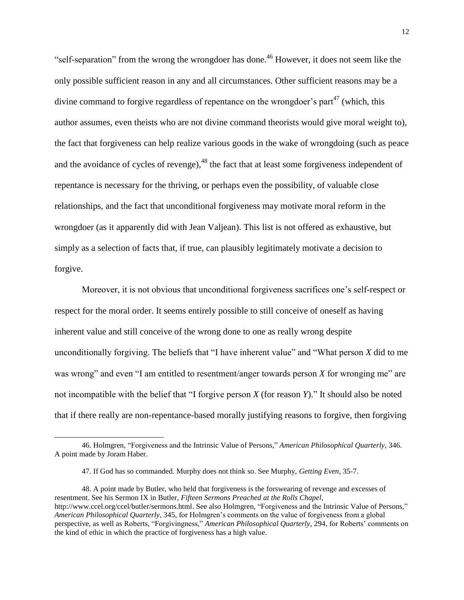"self-separation" from the wrong the wrongdoer has done. <sup>46</sup> However, it does not seem like the only possible sufficient reason in any and all circumstances. Other sufficient reasons may be a divine command to forgive regardless of repentance on the wrongdoer's part<sup>47</sup> (which, this author assumes, even theists who are not divine command theorists would give moral weight to), the fact that forgiveness can help realize various goods in the wake of wrongdoing (such as peace and the avoidance of cycles of revenge), $^{48}$  the fact that at least some forgiveness independent of repentance is necessary for the thriving, or perhaps even the possibility, of valuable close relationships, and the fact that unconditional forgiveness may motivate moral reform in the wrongdoer (as it apparently did with Jean Valjean). This list is not offered as exhaustive, but simply as a selection of facts that, if true, can plausibly legitimately motivate a decision to forgive.

Moreover, it is not obvious that unconditional forgiveness sacrifices one's self-respect or respect for the moral order. It seems entirely possible to still conceive of oneself as having inherent value and still conceive of the wrong done to one as really wrong despite unconditionally forgiving. The beliefs that "I have inherent value" and "What person *X* did to me was wrong" and even "I am entitled to resentment/anger towards person *X* for wronging me" are not incompatible with the belief that "I forgive person *X* (for reason *Y*)." It should also be noted that if there really are non-repentance-based morally justifying reasons to forgive, then forgiving

<sup>46.</sup> Holmgren, "Forgiveness and the Intrinsic Value of Persons," *American Philosophical Quarterly*, 346. A point made by Joram Haber.

<sup>47.</sup> If God has so commanded. Murphy does not think so. See Murphy, *Getting Even*, 35-7.

<sup>48.</sup> A point made by Butler, who held that forgiveness is the forswearing of revenge and excesses of resentment. See his Sermon IX in Butler, *Fifteen Sermons Preached at the Rolls Chapel*, http://www.ccel.org/ccel/butler/sermons.html. See also Holmgren, "Forgiveness and the Intrinsic Value of Persons," *American Philosophical Quarterly*, 345, for Holmgren's comments on the value of forgiveness from a global perspective, as well as Roberts, "Forgivingness," *American Philosophical Quarterly*, 294, for Roberts' comments on the kind of ethic in which the practice of forgiveness has a high value.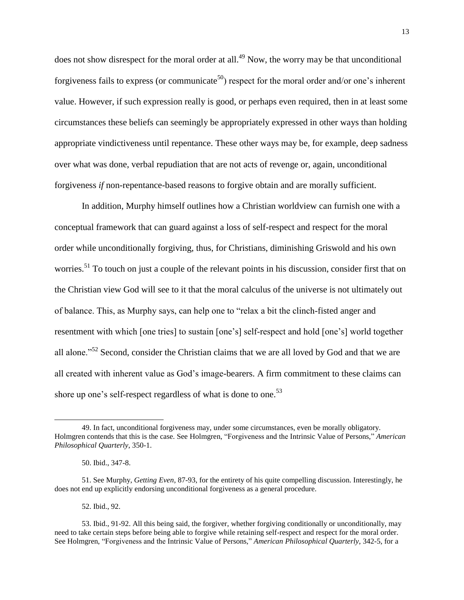does not show disrespect for the moral order at all.<sup>49</sup> Now, the worry may be that unconditional forgiveness fails to express (or communicate<sup>50</sup>) respect for the moral order and/or one's inherent value. However, if such expression really is good, or perhaps even required, then in at least some circumstances these beliefs can seemingly be appropriately expressed in other ways than holding appropriate vindictiveness until repentance. These other ways may be, for example, deep sadness over what was done, verbal repudiation that are not acts of revenge or, again, unconditional forgiveness *if* non-repentance-based reasons to forgive obtain and are morally sufficient.

In addition, Murphy himself outlines how a Christian worldview can furnish one with a conceptual framework that can guard against a loss of self-respect and respect for the moral order while unconditionally forgiving, thus, for Christians, diminishing Griswold and his own worries.<sup>51</sup> To touch on just a couple of the relevant points in his discussion, consider first that on the Christian view God will see to it that the moral calculus of the universe is not ultimately out of balance. This, as Murphy says, can help one to "relax a bit the clinch-fisted anger and resentment with which [one tries] to sustain [one's] self-respect and hold [one's] world together all alone."<sup>52</sup> Second, consider the Christian claims that we are all loved by God and that we are all created with inherent value as God's image-bearers. A firm commitment to these claims can shore up one's self-respect regardless of what is done to one.<sup>53</sup>

 $\overline{a}$ 

52. Ibid., 92.

<sup>49.</sup> In fact, unconditional forgiveness may, under some circumstances, even be morally obligatory. Holmgren contends that this is the case. See Holmgren, "Forgiveness and the Intrinsic Value of Persons," *American Philosophical Quarterly*, 350-1.

<sup>50.</sup> Ibid., 347-8.

<sup>51.</sup> See Murphy, *Getting Even*, 87-93, for the entirety of his quite compelling discussion. Interestingly, he does not end up explicitly endorsing unconditional forgiveness as a general procedure.

<sup>53.</sup> Ibid., 91-92. All this being said, the forgiver, whether forgiving conditionally or unconditionally, may need to take certain steps before being able to forgive while retaining self-respect and respect for the moral order. See Holmgren, "Forgiveness and the Intrinsic Value of Persons," *American Philosophical Quarterly*, 342-5, for a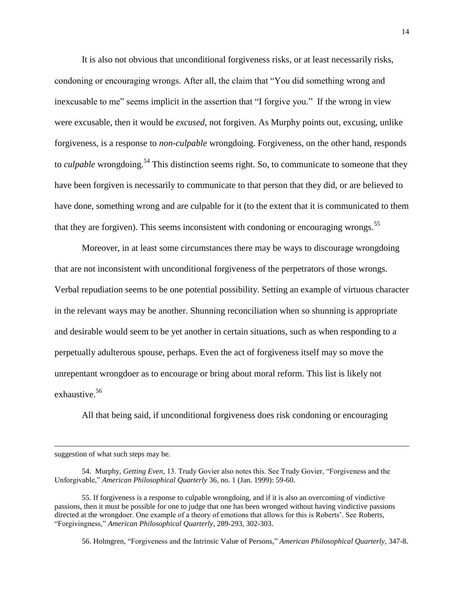It is also not obvious that unconditional forgiveness risks, or at least necessarily risks, condoning or encouraging wrongs. After all, the claim that "You did something wrong and inexcusable to me" seems implicit in the assertion that "I forgive you." If the wrong in view were excusable, then it would be *excused*, not forgiven. As Murphy points out, excusing, unlike forgiveness, is a response to *non-culpable* wrongdoing. Forgiveness, on the other hand, responds to *culpable* wrongdoing.<sup>54</sup> This distinction seems right. So, to communicate to someone that they have been forgiven is necessarily to communicate to that person that they did, or are believed to have done, something wrong and are culpable for it (to the extent that it is communicated to them that they are forgiven). This seems inconsistent with condoning or encouraging wrongs.<sup>55</sup>

Moreover, in at least some circumstances there may be ways to discourage wrongdoing that are not inconsistent with unconditional forgiveness of the perpetrators of those wrongs. Verbal repudiation seems to be one potential possibility. Setting an example of virtuous character in the relevant ways may be another. Shunning reconciliation when so shunning is appropriate and desirable would seem to be yet another in certain situations, such as when responding to a perpetually adulterous spouse, perhaps. Even the act of forgiveness itself may so move the unrepentant wrongdoer as to encourage or bring about moral reform. This list is likely not exhaustive.<sup>56</sup>

All that being said, if unconditional forgiveness does risk condoning or encouraging

suggestion of what such steps may be.

 $\overline{a}$ 

56. Holmgren, "Forgiveness and the Intrinsic Value of Persons," *American Philosophical Quarterly*, 347-8.

<sup>54.</sup> Murphy, *Getting Even*, 13. Trudy Govier also notes this. See Trudy Govier, "Forgiveness and the Unforgivable," *American Philosophical Quarterly* 36, no. 1 (Jan. 1999): 59-60.

<sup>55.</sup> If forgiveness is a response to culpable wrongdoing, and if it is also an overcoming of vindictive passions, then it must be possible for one to judge that one has been wronged without having vindictive passions directed at the wrongdoer. One example of a theory of emotions that allows for this is Roberts'. See Roberts, "Forgivingness," *American Philosophical Quarterly*, 289-293, 302-303.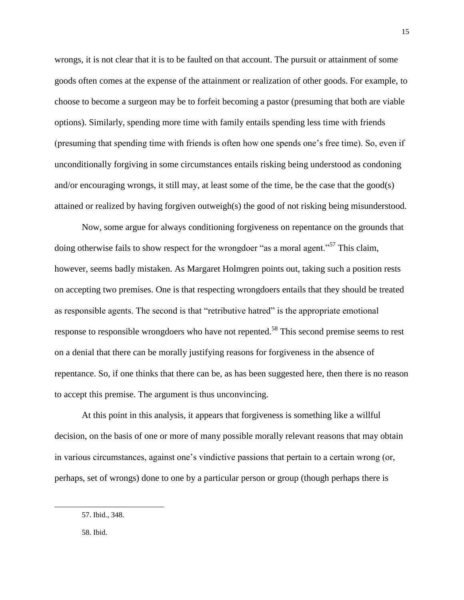wrongs, it is not clear that it is to be faulted on that account. The pursuit or attainment of some goods often comes at the expense of the attainment or realization of other goods. For example, to choose to become a surgeon may be to forfeit becoming a pastor (presuming that both are viable options). Similarly, spending more time with family entails spending less time with friends (presuming that spending time with friends is often how one spends one's free time). So, even if unconditionally forgiving in some circumstances entails risking being understood as condoning and/or encouraging wrongs, it still may, at least some of the time, be the case that the good(s) attained or realized by having forgiven outweigh(s) the good of not risking being misunderstood.

Now, some argue for always conditioning forgiveness on repentance on the grounds that doing otherwise fails to show respect for the wrongdoer "as a moral agent."<sup>57</sup> This claim, however, seems badly mistaken. As Margaret Holmgren points out, taking such a position rests on accepting two premises. One is that respecting wrongdoers entails that they should be treated as responsible agents. The second is that "retributive hatred" is the appropriate emotional response to responsible wrongdoers who have not repented.<sup>58</sup> This second premise seems to rest on a denial that there can be morally justifying reasons for forgiveness in the absence of repentance. So, if one thinks that there can be, as has been suggested here, then there is no reason to accept this premise. The argument is thus unconvincing.

At this point in this analysis, it appears that forgiveness is something like a willful decision, on the basis of one or more of many possible morally relevant reasons that may obtain in various circumstances, against one's vindictive passions that pertain to a certain wrong (or, perhaps, set of wrongs) done to one by a particular person or group (though perhaps there is

<sup>57.</sup> Ibid., 348.

<sup>58.</sup> Ibid.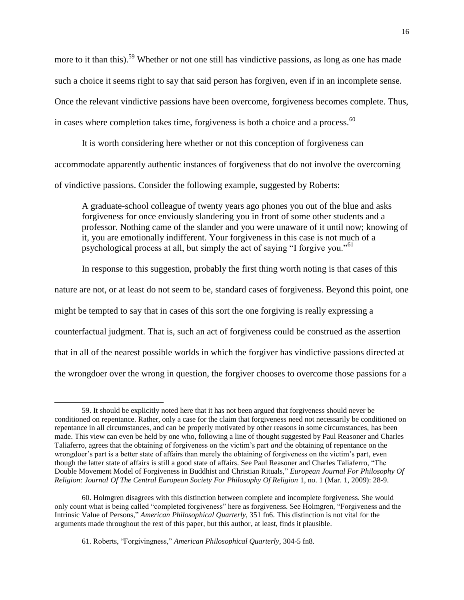more to it than this).<sup>59</sup> Whether or not one still has vindictive passions, as long as one has made such a choice it seems right to say that said person has forgiven, even if in an incomplete sense. Once the relevant vindictive passions have been overcome, forgiveness becomes complete. Thus, in cases where completion takes time, forgiveness is both a choice and a process. $60$ 

It is worth considering here whether or not this conception of forgiveness can accommodate apparently authentic instances of forgiveness that do not involve the overcoming of vindictive passions. Consider the following example, suggested by Roberts:

A graduate-school colleague of twenty years ago phones you out of the blue and asks forgiveness for once enviously slandering you in front of some other students and a professor. Nothing came of the slander and you were unaware of it until now; knowing of it, you are emotionally indifferent. Your forgiveness in this case is not much of a psychological process at all, but simply the act of saying "I forgive you."<sup>61</sup>

In response to this suggestion, probably the first thing worth noting is that cases of this nature are not, or at least do not seem to be, standard cases of forgiveness. Beyond this point, one might be tempted to say that in cases of this sort the one forgiving is really expressing a counterfactual judgment. That is, such an act of forgiveness could be construed as the assertion that in all of the nearest possible worlds in which the forgiver has vindictive passions directed at the wrongdoer over the wrong in question, the forgiver chooses to overcome those passions for a

<sup>59.</sup> It should be explicitly noted here that it has not been argued that forgiveness should never be conditioned on repentance. Rather, only a case for the claim that forgiveness need not necessarily be conditioned on repentance in all circumstances, and can be properly motivated by other reasons in some circumstances, has been made. This view can even be held by one who, following a line of thought suggested by Paul Reasoner and Charles Taliaferro, agrees that the obtaining of forgiveness on the victim's part *and* the obtaining of repentance on the wrongdoer's part is a better state of affairs than merely the obtaining of forgiveness on the victim's part, even though the latter state of affairs is still a good state of affairs. See Paul Reasoner and Charles Taliaferro, "The Double Movement Model of Forgiveness in Buddhist and Christian Rituals," *European Journal For Philosophy Of Religion: Journal Of The Central European Society For Philosophy Of Religion* 1, no. 1 (Mar. 1, 2009): 28-9.

<sup>60.</sup> Holmgren disagrees with this distinction between complete and incomplete forgiveness. She would only count what is being called "completed forgiveness" here as forgiveness. See Holmgren, "Forgiveness and the Intrinsic Value of Persons," *American Philosophical Quarterly*, 351 fn6. This distinction is not vital for the arguments made throughout the rest of this paper, but this author, at least, finds it plausible.

<sup>61.</sup> Roberts, "Forgivingness," *American Philosophical Quarterly*, 304-5 fn8.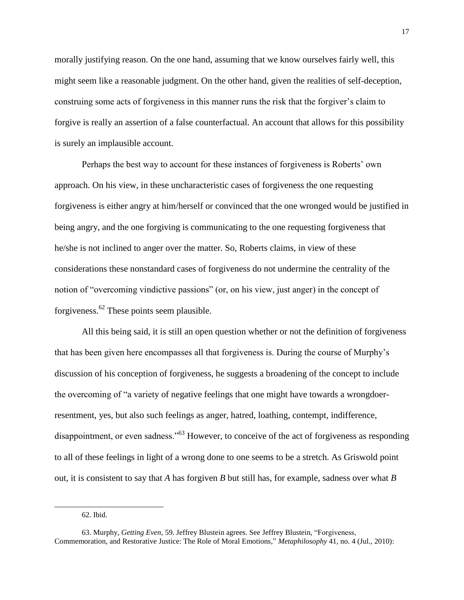morally justifying reason. On the one hand, assuming that we know ourselves fairly well, this might seem like a reasonable judgment. On the other hand, given the realities of self-deception, construing some acts of forgiveness in this manner runs the risk that the forgiver's claim to forgive is really an assertion of a false counterfactual. An account that allows for this possibility is surely an implausible account.

Perhaps the best way to account for these instances of forgiveness is Roberts' own approach. On his view, in these uncharacteristic cases of forgiveness the one requesting forgiveness is either angry at him/herself or convinced that the one wronged would be justified in being angry, and the one forgiving is communicating to the one requesting forgiveness that he/she is not inclined to anger over the matter. So, Roberts claims, in view of these considerations these nonstandard cases of forgiveness do not undermine the centrality of the notion of "overcoming vindictive passions" (or, on his view, just anger) in the concept of forgiveness.<sup>62</sup> These points seem plausible.

All this being said, it is still an open question whether or not the definition of forgiveness that has been given here encompasses all that forgiveness is. During the course of Murphy's discussion of his conception of forgiveness, he suggests a broadening of the concept to include the overcoming of "a variety of negative feelings that one might have towards a wrongdoerresentment, yes, but also such feelings as anger, hatred, loathing, contempt, indifference, disappointment, or even sadness."<sup>63</sup> However, to conceive of the act of forgiveness as responding to all of these feelings in light of a wrong done to one seems to be a stretch. As Griswold point out, it is consistent to say that *A* has forgiven *B* but still has, for example, sadness over what *B*

<sup>62.</sup> Ibid.

<sup>63.</sup> Murphy, *Getting Even*, 59. Jeffrey Blustein agrees. See Jeffrey Blustein, "Forgiveness, Commemoration, and Restorative Justice: The Role of Moral Emotions," *Metaphilosophy* 41, no. 4 (Jul., 2010):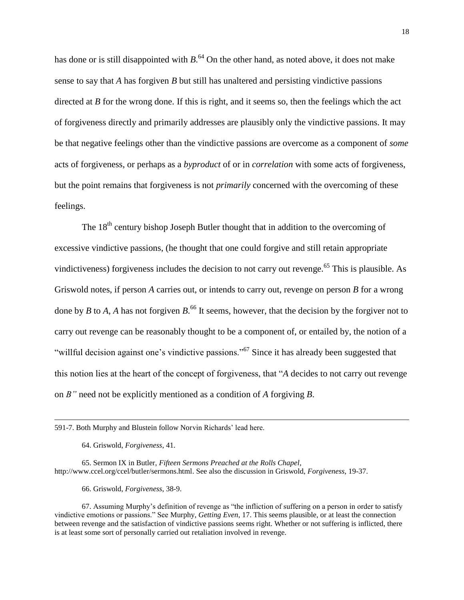has done or is still disappointed with *B*.<sup>64</sup> On the other hand, as noted above, it does not make sense to say that *A* has forgiven *B* but still has unaltered and persisting vindictive passions directed at *B* for the wrong done. If this is right, and it seems so, then the feelings which the act of forgiveness directly and primarily addresses are plausibly only the vindictive passions. It may be that negative feelings other than the vindictive passions are overcome as a component of *some*  acts of forgiveness, or perhaps as a *byproduct* of or in *correlation* with some acts of forgiveness, but the point remains that forgiveness is not *primarily* concerned with the overcoming of these feelings.

The 18<sup>th</sup> century bishop Joseph Butler thought that in addition to the overcoming of excessive vindictive passions, (he thought that one could forgive and still retain appropriate vindictiveness) forgiveness includes the decision to not carry out revenge.<sup>65</sup> This is plausible. As Griswold notes, if person *A* carries out, or intends to carry out, revenge on person *B* for a wrong done by *B* to *A*, *A* has not forgiven *B*. <sup>66</sup> It seems, however, that the decision by the forgiver not to carry out revenge can be reasonably thought to be a component of, or entailed by, the notion of a "willful decision against one's vindictive passions."<sup>67</sup> Since it has already been suggested that this notion lies at the heart of the concept of forgiveness, that "*A* decides to not carry out revenge on *B"* need not be explicitly mentioned as a condition of *A* forgiving *B*.

64. Griswold, *Forgiveness*, 41.

 $\overline{a}$ 

65. Sermon IX in Butler, *Fifteen Sermons Preached at the Rolls Chapel*, http://www.ccel.org/ccel/butler/sermons.html. See also the discussion in Griswold, *Forgiveness*, 19-37.

66. Griswold, *Forgiveness*, 38-9.

67. Assuming Murphy's definition of revenge as "the infliction of suffering on a person in order to satisfy vindictive emotions or passions." See Murphy, *Getting Even*, 17. This seems plausible, or at least the connection between revenge and the satisfaction of vindictive passions seems right. Whether or not suffering is inflicted, there is at least some sort of personally carried out retaliation involved in revenge.

<sup>591-7.</sup> Both Murphy and Blustein follow Norvin Richards' lead here.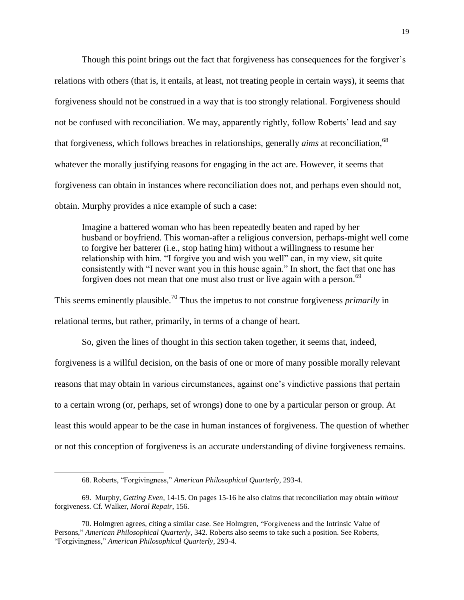Though this point brings out the fact that forgiveness has consequences for the forgiver's relations with others (that is, it entails, at least, not treating people in certain ways), it seems that forgiveness should not be construed in a way that is too strongly relational. Forgiveness should not be confused with reconciliation. We may, apparently rightly, follow Roberts' lead and say that forgiveness, which follows breaches in relationships, generally *aims* at reconciliation,<sup>68</sup> whatever the morally justifying reasons for engaging in the act are. However, it seems that forgiveness can obtain in instances where reconciliation does not, and perhaps even should not, obtain. Murphy provides a nice example of such a case:

Imagine a battered woman who has been repeatedly beaten and raped by her husband or boyfriend. This woman-after a religious conversion, perhaps-might well come to forgive her batterer (i.e., stop hating him) without a willingness to resume her relationship with him. "I forgive you and wish you well" can, in my view, sit quite consistently with "I never want you in this house again." In short, the fact that one has forgiven does not mean that one must also trust or live again with a person.<sup>69</sup>

This seems eminently plausible.<sup>70</sup> Thus the impetus to not construe forgiveness *primarily* in relational terms, but rather, primarily, in terms of a change of heart.

So, given the lines of thought in this section taken together, it seems that, indeed, forgiveness is a willful decision, on the basis of one or more of many possible morally relevant reasons that may obtain in various circumstances, against one's vindictive passions that pertain to a certain wrong (or, perhaps, set of wrongs) done to one by a particular person or group. At least this would appear to be the case in human instances of forgiveness. The question of whether or not this conception of forgiveness is an accurate understanding of divine forgiveness remains.

<sup>68.</sup> Roberts, "Forgivingness," *American Philosophical Quarterly*, 293-4.

<sup>69.</sup> Murphy, *Getting Even*, 14-15. On pages 15-16 he also claims that reconciliation may obtain *without* forgiveness. Cf. Walker, *Moral Repair*, 156.

<sup>70.</sup> Holmgren agrees, citing a similar case. See Holmgren, "Forgiveness and the Intrinsic Value of Persons," *American Philosophical Quarterly*, 342. Roberts also seems to take such a position. See Roberts, "Forgivingness," *American Philosophical Quarterly*, 293-4.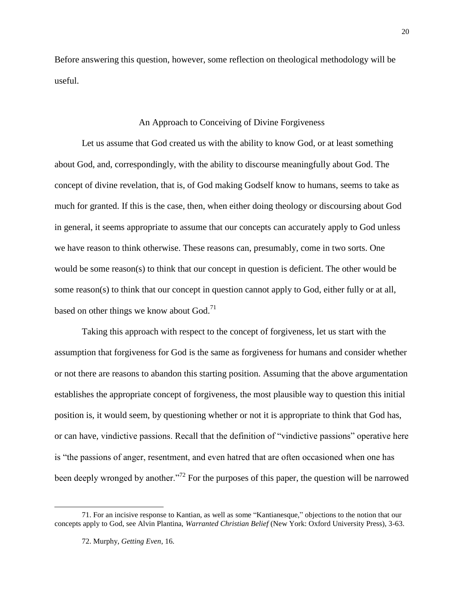Before answering this question, however, some reflection on theological methodology will be useful.

#### An Approach to Conceiving of Divine Forgiveness

Let us assume that God created us with the ability to know God, or at least something about God, and, correspondingly, with the ability to discourse meaningfully about God. The concept of divine revelation, that is, of God making Godself know to humans, seems to take as much for granted. If this is the case, then, when either doing theology or discoursing about God in general, it seems appropriate to assume that our concepts can accurately apply to God unless we have reason to think otherwise. These reasons can, presumably, come in two sorts. One would be some reason(s) to think that our concept in question is deficient. The other would be some reason(s) to think that our concept in question cannot apply to God, either fully or at all, based on other things we know about God.<sup>71</sup>

Taking this approach with respect to the concept of forgiveness, let us start with the assumption that forgiveness for God is the same as forgiveness for humans and consider whether or not there are reasons to abandon this starting position. Assuming that the above argumentation establishes the appropriate concept of forgiveness, the most plausible way to question this initial position is, it would seem, by questioning whether or not it is appropriate to think that God has, or can have, vindictive passions. Recall that the definition of "vindictive passions" operative here is "the passions of anger, resentment, and even hatred that are often occasioned when one has been deeply wronged by another."<sup>72</sup> For the purposes of this paper, the question will be narrowed

<sup>71.</sup> For an incisive response to Kantian, as well as some "Kantianesque," objections to the notion that our concepts apply to God, see Alvin Plantina, *Warranted Christian Belief* (New York: Oxford University Press), 3-63.

<sup>72.</sup> Murphy, *Getting Even*, 16.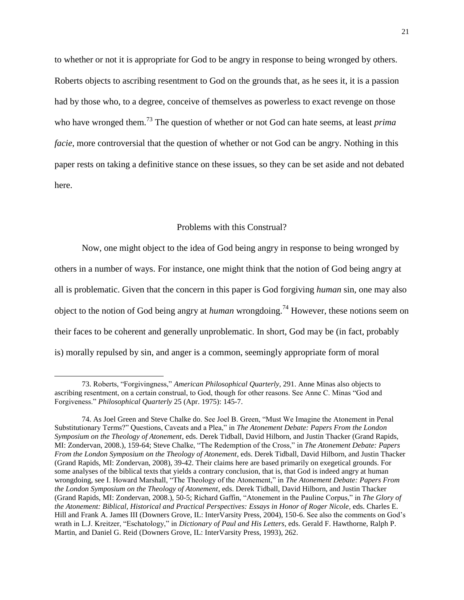to whether or not it is appropriate for God to be angry in response to being wronged by others. Roberts objects to ascribing resentment to God on the grounds that, as he sees it, it is a passion had by those who, to a degree, conceive of themselves as powerless to exact revenge on those who have wronged them.<sup>73</sup> The question of whether or not God can hate seems, at least *prima facie*, more controversial that the question of whether or not God can be angry. Nothing in this paper rests on taking a definitive stance on these issues, so they can be set aside and not debated here.

#### Problems with this Construal?

Now, one might object to the idea of God being angry in response to being wronged by others in a number of ways. For instance, one might think that the notion of God being angry at all is problematic. Given that the concern in this paper is God forgiving *human* sin, one may also object to the notion of God being angry at *human* wrongdoing. <sup>74</sup> However, these notions seem on their faces to be coherent and generally unproblematic. In short, God may be (in fact, probably is) morally repulsed by sin, and anger is a common, seemingly appropriate form of moral

<sup>73.</sup> Roberts, "Forgivingness," *American Philosophical Quarterly*, 291. Anne Minas also objects to ascribing resentment, on a certain construal, to God, though for other reasons. See Anne C. Minas "God and Forgiveness." *Philosophical Quarterly* 25 (Apr. 1975): 145-7.

<sup>74.</sup> As Joel Green and Steve Chalke do. See Joel B. Green, "Must We Imagine the Atonement in Penal Substitutionary Terms?" Questions, Caveats and a Plea," in *The Atonement Debate: Papers From the London Symposium on the Theology of Atonement*, eds. Derek Tidball, David Hilborn, and Justin Thacker (Grand Rapids, MI: Zondervan, 2008.), 159-64; Steve Chalke, "The Redemption of the Cross," in *The Atonement Debate: Papers From the London Symposium on the Theology of Atonement*, eds. Derek Tidball, David Hilborn, and Justin Thacker (Grand Rapids, MI: Zondervan, 2008), 39-42. Their claims here are based primarily on exegetical grounds. For some analyses of the biblical texts that yields a contrary conclusion, that is, that God is indeed angry at human wrongdoing, see I. Howard Marshall, "The Theology of the Atonement," in *The Atonement Debate: Papers From the London Symposium on the Theology of Atonement*, eds. Derek Tidball, David Hilborn, and Justin Thacker (Grand Rapids, MI: Zondervan, 2008.), 50-5; Richard Gaffin, "Atonement in the Pauline Corpus," in *The Glory of the Atonement: Biblical, Historical and Practical Perspectives: Essays in Honor of Roger Nicole*, eds. Charles E. Hill and Frank A. James III (Downers Grove, IL: InterVarsity Press, 2004), 150-6. See also the comments on God's wrath in L.J. Kreitzer, "Eschatology," in *Dictionary of Paul and His Letters*, eds. Gerald F. Hawthorne, Ralph P. Martin, and Daniel G. Reid (Downers Grove, IL: InterVarsity Press, 1993), 262.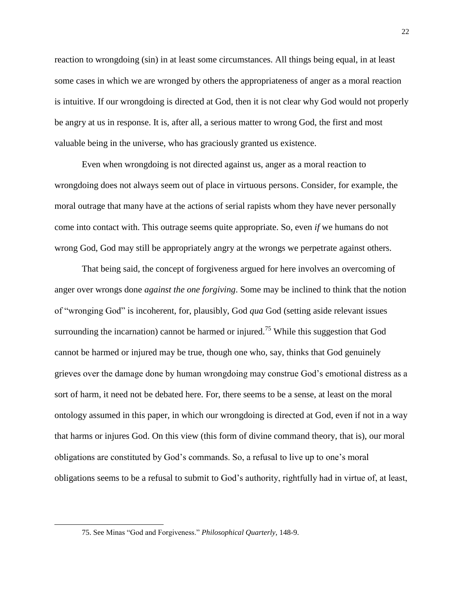reaction to wrongdoing (sin) in at least some circumstances. All things being equal, in at least some cases in which we are wronged by others the appropriateness of anger as a moral reaction is intuitive. If our wrongdoing is directed at God, then it is not clear why God would not properly be angry at us in response. It is, after all, a serious matter to wrong God, the first and most valuable being in the universe, who has graciously granted us existence.

Even when wrongdoing is not directed against us, anger as a moral reaction to wrongdoing does not always seem out of place in virtuous persons. Consider, for example, the moral outrage that many have at the actions of serial rapists whom they have never personally come into contact with. This outrage seems quite appropriate. So, even *if* we humans do not wrong God, God may still be appropriately angry at the wrongs we perpetrate against others.

That being said, the concept of forgiveness argued for here involves an overcoming of anger over wrongs done *against the one forgiving*. Some may be inclined to think that the notion of "wronging God" is incoherent, for, plausibly, God *qua* God (setting aside relevant issues surrounding the incarnation) cannot be harmed or injured.<sup>75</sup> While this suggestion that God cannot be harmed or injured may be true, though one who, say, thinks that God genuinely grieves over the damage done by human wrongdoing may construe God's emotional distress as a sort of harm, it need not be debated here. For, there seems to be a sense, at least on the moral ontology assumed in this paper, in which our wrongdoing is directed at God, even if not in a way that harms or injures God. On this view (this form of divine command theory, that is), our moral obligations are constituted by God's commands. So, a refusal to live up to one's moral obligations seems to be a refusal to submit to God's authority, rightfully had in virtue of, at least,

<sup>75.</sup> See Minas "God and Forgiveness." *Philosophical Quarterly*, 148-9.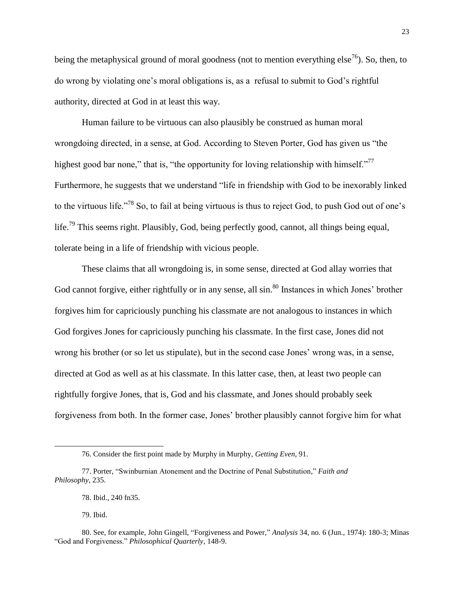being the metaphysical ground of moral goodness (not to mention everything else<sup>76</sup>). So, then, to do wrong by violating one's moral obligations is, as a refusal to submit to God's rightful authority, directed at God in at least this way.

Human failure to be virtuous can also plausibly be construed as human moral wrongdoing directed, in a sense, at God. According to Steven Porter, God has given us "the highest good bar none," that is, "the opportunity for loving relationship with himself."<sup>77</sup> Furthermore, he suggests that we understand "life in friendship with God to be inexorably linked to the virtuous life."<sup>78</sup> So, to fail at being virtuous is thus to reject God, to push God out of one's life.<sup>79</sup> This seems right. Plausibly, God, being perfectly good, cannot, all things being equal, tolerate being in a life of friendship with vicious people.

These claims that all wrongdoing is, in some sense, directed at God allay worries that God cannot forgive, either rightfully or in any sense, all sin.<sup>80</sup> Instances in which Jones' brother forgives him for capriciously punching his classmate are not analogous to instances in which God forgives Jones for capriciously punching his classmate. In the first case, Jones did not wrong his brother (or so let us stipulate), but in the second case Jones' wrong was, in a sense, directed at God as well as at his classmate. In this latter case, then, at least two people can rightfully forgive Jones, that is, God and his classmate, and Jones should probably seek forgiveness from both. In the former case, Jones' brother plausibly cannot forgive him for what

<sup>76.</sup> Consider the first point made by Murphy in Murphy, *Getting Even*, 91.

<sup>77.</sup> Porter, "Swinburnian Atonement and the Doctrine of Penal Substitution," *Faith and Philosophy*, 235.

<sup>78.</sup> Ibid., 240 fn35.

<sup>79.</sup> Ibid.

<sup>80.</sup> See, for example, John Gingell, "Forgiveness and Power," *Analysis* 34, no. 6 (Jun., 1974): 180-3; Minas "God and Forgiveness." *Philosophical Quarterly*, 148-9.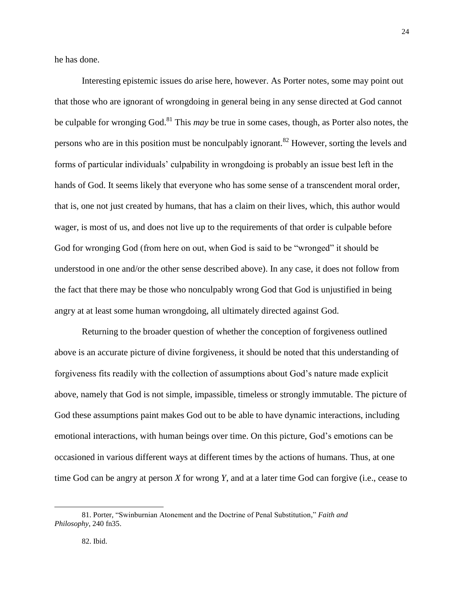he has done.

Interesting epistemic issues do arise here, however. As Porter notes, some may point out that those who are ignorant of wrongdoing in general being in any sense directed at God cannot be culpable for wronging God.<sup>81</sup> This *may* be true in some cases, though, as Porter also notes, the persons who are in this position must be nonculpably ignorant.<sup>82</sup> However, sorting the levels and forms of particular individuals' culpability in wrongdoing is probably an issue best left in the hands of God. It seems likely that everyone who has some sense of a transcendent moral order, that is, one not just created by humans, that has a claim on their lives, which, this author would wager, is most of us, and does not live up to the requirements of that order is culpable before God for wronging God (from here on out, when God is said to be "wronged" it should be understood in one and/or the other sense described above). In any case, it does not follow from the fact that there may be those who nonculpably wrong God that God is unjustified in being angry at at least some human wrongdoing, all ultimately directed against God.

Returning to the broader question of whether the conception of forgiveness outlined above is an accurate picture of divine forgiveness, it should be noted that this understanding of forgiveness fits readily with the collection of assumptions about God's nature made explicit above, namely that God is not simple, impassible, timeless or strongly immutable. The picture of God these assumptions paint makes God out to be able to have dynamic interactions, including emotional interactions, with human beings over time. On this picture, God's emotions can be occasioned in various different ways at different times by the actions of humans. Thus, at one time God can be angry at person *X* for wrong *Y*, and at a later time God can forgive (i.e., cease to

<sup>81.</sup> Porter, "Swinburnian Atonement and the Doctrine of Penal Substitution," *Faith and Philosophy*, 240 fn35.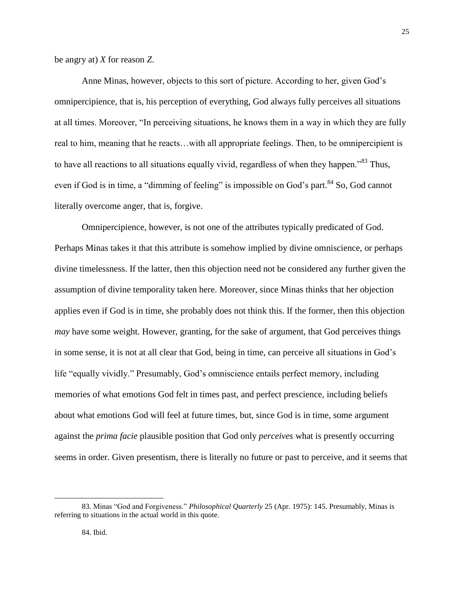be angry at) *X* for reason *Z*.

Anne Minas, however, objects to this sort of picture. According to her, given God's omnipercipience, that is, his perception of everything, God always fully perceives all situations at all times. Moreover, "In perceiving situations, he knows them in a way in which they are fully real to him, meaning that he reacts…with all appropriate feelings. Then, to be omnipercipient is to have all reactions to all situations equally vivid, regardless of when they happen."<sup>83</sup> Thus, even if God is in time, a "dimming of feeling" is impossible on God's part.<sup>84</sup> So, God cannot literally overcome anger, that is, forgive.

Omnipercipience, however, is not one of the attributes typically predicated of God. Perhaps Minas takes it that this attribute is somehow implied by divine omniscience, or perhaps divine timelessness. If the latter, then this objection need not be considered any further given the assumption of divine temporality taken here. Moreover, since Minas thinks that her objection applies even if God is in time, she probably does not think this. If the former, then this objection *may* have some weight. However, granting, for the sake of argument, that God perceives things in some sense, it is not at all clear that God, being in time, can perceive all situations in God's life "equally vividly." Presumably, God's omniscience entails perfect memory, including memories of what emotions God felt in times past, and perfect prescience, including beliefs about what emotions God will feel at future times, but, since God is in time, some argument against the *prima facie* plausible position that God only *perceives* what is presently occurring seems in order. Given presentism, there is literally no future or past to perceive, and it seems that

25

<sup>83.</sup> Minas "God and Forgiveness." *Philosophical Quarterly* 25 (Apr. 1975): 145. Presumably, Minas is referring to situations in the actual world in this quote.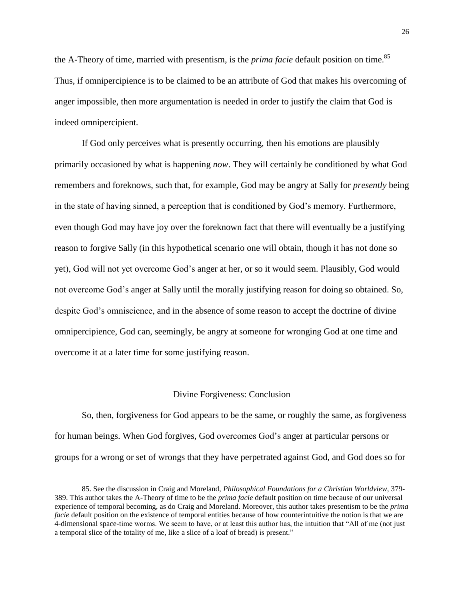the A-Theory of time, married with presentism, is the *prima facie* default position on time.<sup>85</sup> Thus, if omnipercipience is to be claimed to be an attribute of God that makes his overcoming of anger impossible, then more argumentation is needed in order to justify the claim that God is indeed omnipercipient.

If God only perceives what is presently occurring, then his emotions are plausibly primarily occasioned by what is happening *now*. They will certainly be conditioned by what God remembers and foreknows, such that, for example, God may be angry at Sally for *presently* being in the state of having sinned, a perception that is conditioned by God's memory. Furthermore, even though God may have joy over the foreknown fact that there will eventually be a justifying reason to forgive Sally (in this hypothetical scenario one will obtain, though it has not done so yet), God will not yet overcome God's anger at her, or so it would seem. Plausibly, God would not overcome God's anger at Sally until the morally justifying reason for doing so obtained. So, despite God's omniscience, and in the absence of some reason to accept the doctrine of divine omnipercipience, God can, seemingly, be angry at someone for wronging God at one time and overcome it at a later time for some justifying reason.

#### Divine Forgiveness: Conclusion

So, then, forgiveness for God appears to be the same, or roughly the same, as forgiveness for human beings. When God forgives, God overcomes God's anger at particular persons or groups for a wrong or set of wrongs that they have perpetrated against God, and God does so for

<sup>85.</sup> See the discussion in Craig and Moreland, *Philosophical Foundations for a Christian Worldview*, 379- 389. This author takes the A-Theory of time to be the *prima facie* default position on time because of our universal experience of temporal becoming, as do Craig and Moreland. Moreover, this author takes presentism to be the *prima facie* default position on the existence of temporal entities because of how counterintuitive the notion is that we are 4-dimensional space-time worms. We seem to have, or at least this author has, the intuition that "All of me (not just a temporal slice of the totality of me, like a slice of a loaf of bread) is present."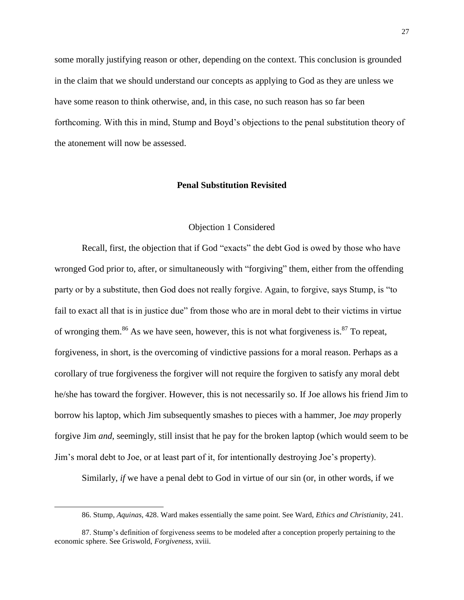some morally justifying reason or other, depending on the context. This conclusion is grounded in the claim that we should understand our concepts as applying to God as they are unless we have some reason to think otherwise, and, in this case, no such reason has so far been forthcoming. With this in mind, Stump and Boyd's objections to the penal substitution theory of the atonement will now be assessed.

#### **Penal Substitution Revisited**

#### Objection 1 Considered

Recall, first, the objection that if God "exacts" the debt God is owed by those who have wronged God prior to, after, or simultaneously with "forgiving" them, either from the offending party or by a substitute, then God does not really forgive. Again, to forgive, says Stump, is "to fail to exact all that is in justice due" from those who are in moral debt to their victims in virtue of wronging them.<sup>86</sup> As we have seen, however, this is not what forgiveness is.<sup>87</sup> To repeat, forgiveness, in short, is the overcoming of vindictive passions for a moral reason. Perhaps as a corollary of true forgiveness the forgiver will not require the forgiven to satisfy any moral debt he/she has toward the forgiver. However, this is not necessarily so. If Joe allows his friend Jim to borrow his laptop, which Jim subsequently smashes to pieces with a hammer, Joe *may* properly forgive Jim *and*, seemingly, still insist that he pay for the broken laptop (which would seem to be Jim's moral debt to Joe, or at least part of it, for intentionally destroying Joe's property).

Similarly, *if* we have a penal debt to God in virtue of our sin (or, in other words, if we

<sup>86.</sup> Stump, *Aquinas*, 428. Ward makes essentially the same point. See Ward, *Ethics and Christianity*, 241.

<sup>87.</sup> Stump's definition of forgiveness seems to be modeled after a conception properly pertaining to the economic sphere. See Griswold, *Forgiveness*, xviii.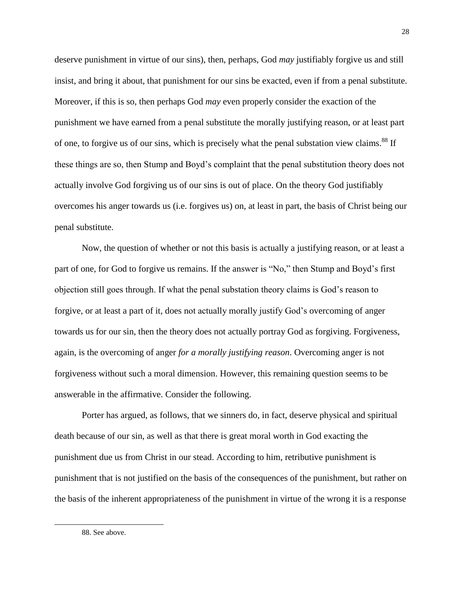deserve punishment in virtue of our sins), then, perhaps, God *may* justifiably forgive us and still insist, and bring it about, that punishment for our sins be exacted, even if from a penal substitute. Moreover, if this is so, then perhaps God *may* even properly consider the exaction of the punishment we have earned from a penal substitute the morally justifying reason, or at least part of one, to forgive us of our sins, which is precisely what the penal substation view claims.<sup>88</sup> If these things are so, then Stump and Boyd's complaint that the penal substitution theory does not actually involve God forgiving us of our sins is out of place. On the theory God justifiably overcomes his anger towards us (i.e. forgives us) on, at least in part, the basis of Christ being our penal substitute.

Now, the question of whether or not this basis is actually a justifying reason, or at least a part of one, for God to forgive us remains. If the answer is "No," then Stump and Boyd's first objection still goes through. If what the penal substation theory claims is God's reason to forgive, or at least a part of it, does not actually morally justify God's overcoming of anger towards us for our sin, then the theory does not actually portray God as forgiving. Forgiveness, again, is the overcoming of anger *for a morally justifying reason*. Overcoming anger is not forgiveness without such a moral dimension. However, this remaining question seems to be answerable in the affirmative. Consider the following.

Porter has argued, as follows, that we sinners do, in fact, deserve physical and spiritual death because of our sin, as well as that there is great moral worth in God exacting the punishment due us from Christ in our stead. According to him, retributive punishment is punishment that is not justified on the basis of the consequences of the punishment, but rather on the basis of the inherent appropriateness of the punishment in virtue of the wrong it is a response

88. See above.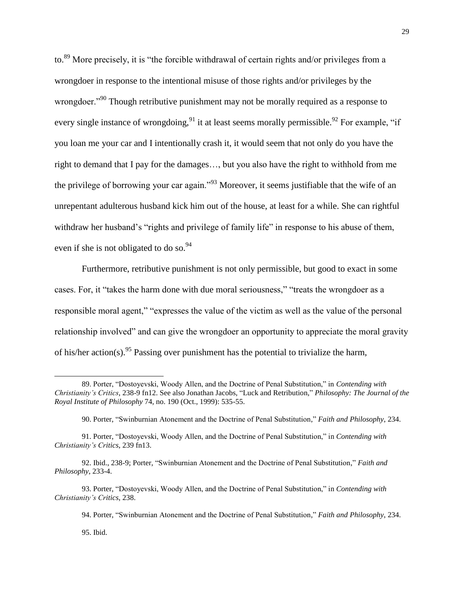to.<sup>89</sup> More precisely, it is "the forcible withdrawal of certain rights and/or privileges from a wrongdoer in response to the intentional misuse of those rights and/or privileges by the wrongdoer."<sup>90</sup> Though retributive punishment may not be morally required as a response to every single instance of wrongdoing,  $91$  it at least seems morally permissible.  $92$  For example, "if you loan me your car and I intentionally crash it, it would seem that not only do you have the right to demand that I pay for the damages…, but you also have the right to withhold from me the privilege of borrowing your car again."<sup>93</sup> Moreover, it seems justifiable that the wife of an unrepentant adulterous husband kick him out of the house, at least for a while. She can rightful withdraw her husband's "rights and privilege of family life" in response to his abuse of them, even if she is not obligated to do so.  $94$ 

Furthermore, retributive punishment is not only permissible, but good to exact in some cases. For, it "takes the harm done with due moral seriousness," "treats the wrongdoer as a responsible moral agent," "expresses the value of the victim as well as the value of the personal relationship involved" and can give the wrongdoer an opportunity to appreciate the moral gravity of his/her action(s).<sup>95</sup> Passing over punishment has the potential to trivialize the harm,

95. Ibid.

<sup>89.</sup> Porter, "Dostoyevski, Woody Allen, and the Doctrine of Penal Substitution," in *Contending with Christianity's Critics*, 238-9 fn12. See also Jonathan Jacobs, "Luck and Retribution," *Philosophy: The Journal of the Royal Institute of Philosophy* 74, no. 190 (Oct., 1999): 535-55.

<sup>90.</sup> Porter, "Swinburnian Atonement and the Doctrine of Penal Substitution," *Faith and Philosophy*, 234.

<sup>91.</sup> Porter, "Dostoyevski, Woody Allen, and the Doctrine of Penal Substitution," in *Contending with Christianity's Critics*, 239 fn13.

<sup>92.</sup> Ibid., 238-9; Porter, "Swinburnian Atonement and the Doctrine of Penal Substitution," *Faith and Philosophy*, 233-4.

<sup>93.</sup> Porter, "Dostoyevski, Woody Allen, and the Doctrine of Penal Substitution," in *Contending with Christianity's Critics*, 238.

<sup>94.</sup> Porter, "Swinburnian Atonement and the Doctrine of Penal Substitution," *Faith and Philosophy*, 234.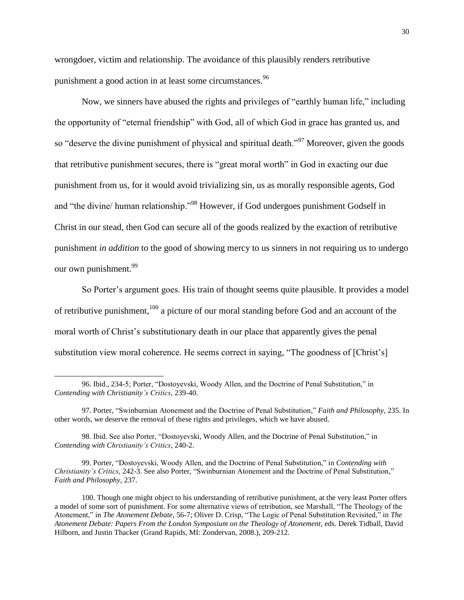wrongdoer, victim and relationship. The avoidance of this plausibly renders retributive punishment a good action in at least some circumstances.<sup>96</sup>

Now, we sinners have abused the rights and privileges of "earthly human life," including the opportunity of "eternal friendship" with God, all of which God in grace has granted us, and so "deserve the divine punishment of physical and spiritual death."<sup>97</sup> Moreover, given the goods that retributive punishment secures, there is "great moral worth" in God in exacting our due punishment from us, for it would avoid trivializing sin, us as morally responsible agents, God and "the divine/ human relationship."<sup>98</sup> However, if God undergoes punishment Godself in Christ in our stead, then God can secure all of the goods realized by the exaction of retributive punishment *in addition* to the good of showing mercy to us sinners in not requiring us to undergo our own punishment.<sup>99</sup>

So Porter's argument goes. His train of thought seems quite plausible. It provides a model of retributive punishment,<sup>100</sup> a picture of our moral standing before God and an account of the moral worth of Christ's substitutionary death in our place that apparently gives the penal substitution view moral coherence. He seems correct in saying, "The goodness of [Christ's]

<sup>96.</sup> Ibid., 234-5; Porter, "Dostoyevski, Woody Allen, and the Doctrine of Penal Substitution," in *Contending with Christianity's Critics*, 239-40.

<sup>97.</sup> Porter, "Swinburnian Atonement and the Doctrine of Penal Substitution," *Faith and Philosophy*, 235. In other words, we deserve the removal of these rights and privileges, which we have abused.

<sup>98.</sup> Ibid. See also Porter, "Dostoyevski, Woody Allen, and the Doctrine of Penal Substitution," in *Contending with Christianity's Critics*, 240-2.

<sup>99.</sup> Porter, "Dostoyevski, Woody Allen, and the Doctrine of Penal Substitution," in *Contending with Christianity's Critics*, 242-3. See also Porter, "Swinburnian Atonement and the Doctrine of Penal Substitution," *Faith and Philosophy*, 237.

<sup>100.</sup> Though one might object to his understanding of retributive punishment, at the very least Porter offers a model of some sort of punishment. For *some* alternative views of retribution, see Marshall, "The Theology of the Atonement," in *The Atonement Debate*, 56-7; Oliver D. Crisp, "The Logic of Penal Substitution Revisited," in *The Atonement Debate: Papers From the London Symposium on the Theology of Atonement*, eds. Derek Tidball, David Hilborn, and Justin Thacker (Grand Rapids, MI: Zondervan, 2008.), 209-212.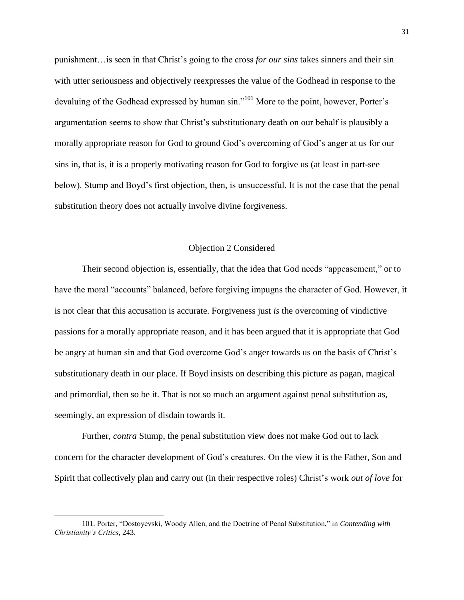punishment…is seen in that Christ's going to the cross *for our sins* takes sinners and their sin with utter seriousness and objectively reexpresses the value of the Godhead in response to the devaluing of the Godhead expressed by human sin."<sup>101</sup> More to the point, however, Porter's argumentation seems to show that Christ's substitutionary death on our behalf is plausibly a morally appropriate reason for God to ground God's overcoming of God's anger at us for our sins in, that is, it is a properly motivating reason for God to forgive us (at least in part-see below). Stump and Boyd's first objection, then, is unsuccessful. It is not the case that the penal substitution theory does not actually involve divine forgiveness.

#### Objection 2 Considered

Their second objection is, essentially, that the idea that God needs "appeasement," or to have the moral "accounts" balanced, before forgiving impugns the character of God. However, it is not clear that this accusation is accurate. Forgiveness just *is* the overcoming of vindictive passions for a morally appropriate reason, and it has been argued that it is appropriate that God be angry at human sin and that God overcome God's anger towards us on the basis of Christ's substitutionary death in our place. If Boyd insists on describing this picture as pagan, magical and primordial, then so be it. That is not so much an argument against penal substitution as, seemingly, an expression of disdain towards it.

Further, *contra* Stump, the penal substitution view does not make God out to lack concern for the character development of God's creatures. On the view it is the Father, Son and Spirit that collectively plan and carry out (in their respective roles) Christ's work *out of love* for

<sup>101.</sup> Porter, "Dostoyevski, Woody Allen, and the Doctrine of Penal Substitution," in *Contending with Christianity's Critics*, 243.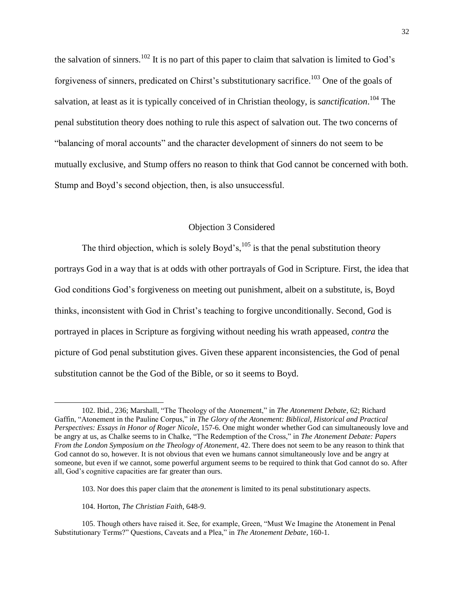the salvation of sinners.<sup>102</sup> It is no part of this paper to claim that salvation is limited to God's forgiveness of sinners, predicated on Chirst's substitutionary sacrifice.<sup>103</sup> One of the goals of salvation, at least as it is typically conceived of in Christian theology, is *sanctification*. <sup>104</sup> The penal substitution theory does nothing to rule this aspect of salvation out. The two concerns of "balancing of moral accounts" and the character development of sinners do not seem to be mutually exclusive, and Stump offers no reason to think that God cannot be concerned with both. Stump and Boyd's second objection, then, is also unsuccessful.

#### Objection 3 Considered

The third objection, which is solely Boyd's, $^{105}$  is that the penal substitution theory portrays God in a way that is at odds with other portrayals of God in Scripture. First, the idea that God conditions God's forgiveness on meeting out punishment, albeit on a substitute, is, Boyd thinks, inconsistent with God in Christ's teaching to forgive unconditionally. Second, God is portrayed in places in Scripture as forgiving without needing his wrath appeased, *contra* the picture of God penal substitution gives. Given these apparent inconsistencies, the God of penal substitution cannot be the God of the Bible, or so it seems to Boyd.

<sup>102.</sup> Ibid., 236; Marshall, "The Theology of the Atonement," in *The Atonement Debate*, 62; Richard Gaffin, "Atonement in the Pauline Corpus," in *The Glory of the Atonement: Biblical, Historical and Practical Perspectives: Essays in Honor of Roger Nicole*, 157-6. One might wonder whether God can simultaneously love and be angry at us, as Chalke seems to in Chalke, "The Redemption of the Cross," in *The Atonement Debate: Papers From the London Symposium on the Theology of Atonement*, 42. There does not seem to be any reason to think that God cannot do so, however. It is not obvious that even we humans cannot simultaneously love and be angry at someone, but even if we cannot, some powerful argument seems to be required to think that God cannot do so. After all, God's cognitive capacities are far greater than ours.

<sup>103.</sup> Nor does this paper claim that the *atonement* is limited to its penal substitutionary aspects.

<sup>104.</sup> Horton, *The Christian Faith*, 648-9.

<sup>105.</sup> Though others have raised it. See, for example, Green, "Must We Imagine the Atonement in Penal Substitutionary Terms?" Questions, Caveats and a Plea," in *The Atonement Debate*, 160-1.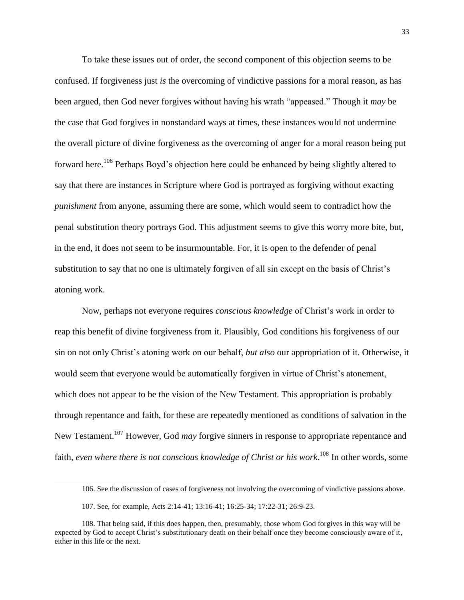To take these issues out of order, the second component of this objection seems to be confused. If forgiveness just *is* the overcoming of vindictive passions for a moral reason, as has been argued, then God never forgives without having his wrath "appeased." Though it *may* be the case that God forgives in nonstandard ways at times, these instances would not undermine the overall picture of divine forgiveness as the overcoming of anger for a moral reason being put forward here.<sup>106</sup> Perhaps Boyd's objection here could be enhanced by being slightly altered to say that there are instances in Scripture where God is portrayed as forgiving without exacting *punishment* from anyone, assuming there are some, which would seem to contradict how the penal substitution theory portrays God. This adjustment seems to give this worry more bite, but, in the end, it does not seem to be insurmountable. For, it is open to the defender of penal substitution to say that no one is ultimately forgiven of all sin except on the basis of Christ's atoning work.

Now, perhaps not everyone requires *conscious knowledge* of Christ's work in order to reap this benefit of divine forgiveness from it. Plausibly, God conditions his forgiveness of our sin on not only Christ's atoning work on our behalf, *but also* our appropriation of it. Otherwise, it would seem that everyone would be automatically forgiven in virtue of Christ's atonement, which does not appear to be the vision of the New Testament. This appropriation is probably through repentance and faith, for these are repeatedly mentioned as conditions of salvation in the New Testament.<sup>107</sup> However, God *may* forgive sinners in response to appropriate repentance and faith, *even where there is not conscious knowledge of Christ or his work*. <sup>108</sup> In other words, some

<sup>106.</sup> See the discussion of cases of forgiveness not involving the overcoming of vindictive passions above.

<sup>107.</sup> See, for example, Acts 2:14-41; 13:16-41; 16:25-34; 17:22-31; 26:9-23.

<sup>108.</sup> That being said, if this does happen, then, presumably, those whom God forgives in this way will be expected by God to accept Christ's substitutionary death on their behalf once they become consciously aware of it, either in this life or the next.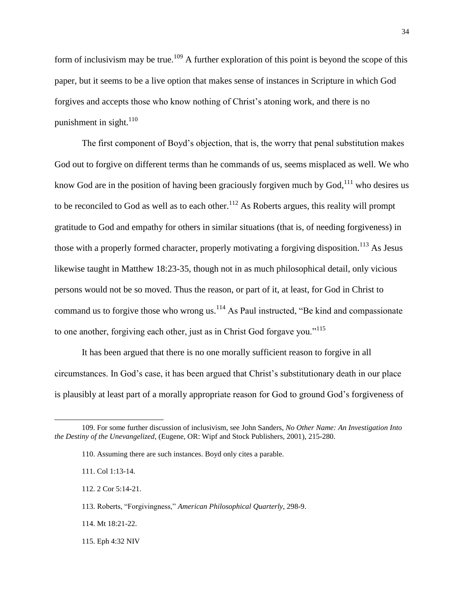form of inclusivism may be true.<sup>109</sup> A further exploration of this point is beyond the scope of this paper, but it seems to be a live option that makes sense of instances in Scripture in which God forgives and accepts those who know nothing of Christ's atoning work, and there is no punishment in sight. $110$ 

The first component of Boyd's objection, that is, the worry that penal substitution makes God out to forgive on different terms than he commands of us, seems misplaced as well. We who know God are in the position of having been graciously forgiven much by  $God<sub>1</sub><sup>111</sup>$  who desires us to be reconciled to God as well as to each other.<sup>112</sup> As Roberts argues, this reality will prompt gratitude to God and empathy for others in similar situations (that is, of needing forgiveness) in those with a properly formed character, properly motivating a forgiving disposition.<sup>113</sup> As Jesus likewise taught in Matthew 18:23-35, though not in as much philosophical detail, only vicious persons would not be so moved. Thus the reason, or part of it, at least, for God in Christ to command us to forgive those who wrong us. $^{114}$  As Paul instructed, "Be kind and compassionate to one another, forgiving each other, just as in Christ God forgave you."<sup>115</sup>

It has been argued that there is no one morally sufficient reason to forgive in all circumstances. In God's case, it has been argued that Christ's substitutionary death in our place is plausibly at least part of a morally appropriate reason for God to ground God's forgiveness of

<sup>109.</sup> For some further discussion of inclusivism, see John Sanders, *No Other Name: An Investigation Into the Destiny of the Unevangelized*, (Eugene, OR: Wipf and Stock Publishers, 2001), 215-280.

<sup>110.</sup> Assuming there are such instances. Boyd only cites a parable.

<sup>111.</sup> Col 1:13-14.

<sup>112. 2</sup> Cor 5:14-21.

<sup>113.</sup> Roberts, "Forgivingness," *American Philosophical Quarterly*, 298-9.

<sup>114.</sup> Mt 18:21-22.

<sup>115.</sup> Eph 4:32 NIV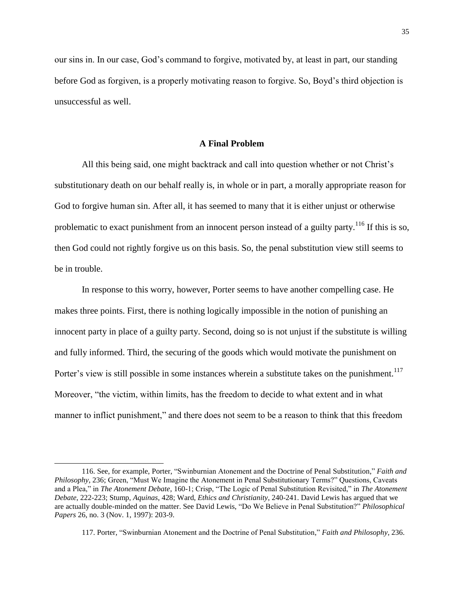our sins in. In our case, God's command to forgive, motivated by, at least in part, our standing before God as forgiven, is a properly motivating reason to forgive. So, Boyd's third objection is unsuccessful as well.

#### **A Final Problem**

All this being said, one might backtrack and call into question whether or not Christ's substitutionary death on our behalf really is, in whole or in part, a morally appropriate reason for God to forgive human sin. After all, it has seemed to many that it is either unjust or otherwise problematic to exact punishment from an innocent person instead of a guilty party.<sup>116</sup> If this is so, then God could not rightly forgive us on this basis. So, the penal substitution view still seems to be in trouble.

In response to this worry, however, Porter seems to have another compelling case. He makes three points. First, there is nothing logically impossible in the notion of punishing an innocent party in place of a guilty party. Second, doing so is not unjust if the substitute is willing and fully informed. Third, the securing of the goods which would motivate the punishment on Porter's view is still possible in some instances wherein a substitute takes on the punishment.<sup>117</sup> Moreover, "the victim, within limits, has the freedom to decide to what extent and in what manner to inflict punishment," and there does not seem to be a reason to think that this freedom

<sup>116.</sup> See, for example, Porter, "Swinburnian Atonement and the Doctrine of Penal Substitution," *Faith and Philosophy*, 236; Green, "Must We Imagine the Atonement in Penal Substitutionary Terms?" Questions, Caveats and a Plea," in *The Atonement Debate*, 160-1; Crisp, "The Logic of Penal Substitution Revisited," in *The Atonement Debate*, 222-223; Stump, *Aquinas*, 428; Ward, *Ethics and Christianity*, 240-241. David Lewis has argued that we are actually double-minded on the matter. See David Lewis, "Do We Believe in Penal Substitution?" *Philosophical Papers* 26, no. 3 (Nov. 1, 1997): 203-9.

<sup>117.</sup> Porter, "Swinburnian Atonement and the Doctrine of Penal Substitution," *Faith and Philosophy*, 236.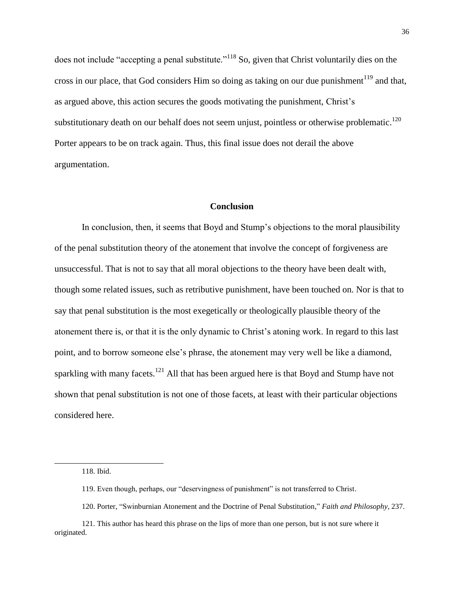does not include "accepting a penal substitute."<sup>118</sup> So, given that Christ voluntarily dies on the cross in our place, that God considers Him so doing as taking on our due punishment<sup>119</sup> and that, as argued above, this action secures the goods motivating the punishment, Christ's substitutionary death on our behalf does not seem unjust, pointless or otherwise problematic.<sup>120</sup> Porter appears to be on track again. Thus, this final issue does not derail the above argumentation.

#### **Conclusion**

In conclusion, then, it seems that Boyd and Stump's objections to the moral plausibility of the penal substitution theory of the atonement that involve the concept of forgiveness are unsuccessful. That is not to say that all moral objections to the theory have been dealt with, though some related issues, such as retributive punishment, have been touched on. Nor is that to say that penal substitution is the most exegetically or theologically plausible theory of the atonement there is, or that it is the only dynamic to Christ's atoning work. In regard to this last point, and to borrow someone else's phrase, the atonement may very well be like a diamond, sparkling with many facets.<sup>121</sup> All that has been argued here is that Boyd and Stump have not shown that penal substitution is not one of those facets, at least with their particular objections considered here.

<sup>118.</sup> Ibid.

<sup>119.</sup> Even though, perhaps, our "deservingness of punishment" is not transferred to Christ.

<sup>120.</sup> Porter, "Swinburnian Atonement and the Doctrine of Penal Substitution," *Faith and Philosophy*, 237.

<sup>121.</sup> This author has heard this phrase on the lips of more than one person, but is not sure where it originated.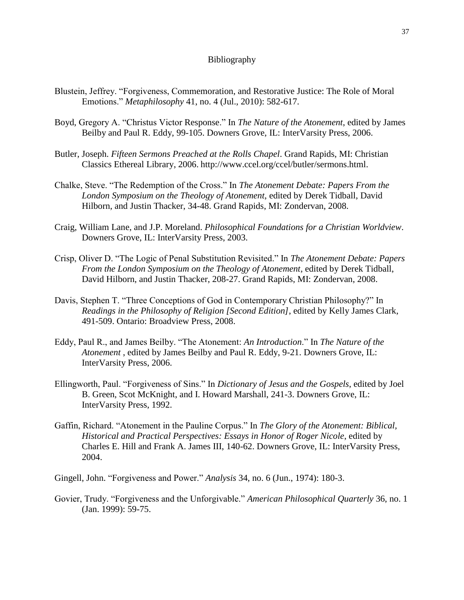#### Bibliography

- Blustein, Jeffrey. "Forgiveness, Commemoration, and Restorative Justice: The Role of Moral Emotions." *Metaphilosophy* 41, no. 4 (Jul., 2010): 582-617.
- Boyd, Gregory A. "Christus Victor Response." In *The Nature of the Atonement*, edited by James Beilby and Paul R. Eddy, 99-105. Downers Grove, IL: InterVarsity Press, 2006.
- Butler, Joseph. *Fifteen Sermons Preached at the Rolls Chapel*. Grand Rapids, MI: Christian Classics Ethereal Library, 2006. http://www.ccel.org/ccel/butler/sermons.html.
- Chalke, Steve. "The Redemption of the Cross." In *The Atonement Debate: Papers From the London Symposium on the Theology of Atonement*, edited by Derek Tidball, David Hilborn, and Justin Thacker, 34-48. Grand Rapids, MI: Zondervan, 2008.
- Craig, William Lane, and J.P. Moreland. *Philosophical Foundations for a Christian Worldview*. Downers Grove, IL: InterVarsity Press, 2003.
- Crisp, Oliver D. "The Logic of Penal Substitution Revisited." In *The Atonement Debate: Papers From the London Symposium on the Theology of Atonement*, edited by Derek Tidball, David Hilborn, and Justin Thacker, 208-27. Grand Rapids, MI: Zondervan, 2008.
- Davis, Stephen T. "Three Conceptions of God in Contemporary Christian Philosophy?" In *Readings in the Philosophy of Religion [Second Edition]*, edited by Kelly James Clark, 491-509. Ontario: Broadview Press, 2008.
- Eddy, Paul R., and James Beilby. "The Atonement: *An Introduction*." In *The Nature of the Atonement* , edited by James Beilby and Paul R. Eddy, 9-21. Downers Grove, IL: InterVarsity Press, 2006.
- Ellingworth, Paul. "Forgiveness of Sins." In *Dictionary of Jesus and the Gospels*, edited by Joel B. Green, Scot McKnight, and I. Howard Marshall, 241-3. Downers Grove, IL: InterVarsity Press, 1992.
- Gaffin, Richard. "Atonement in the Pauline Corpus." In *The Glory of the Atonement: Biblical, Historical and Practical Perspectives: Essays in Honor of Roger Nicole*, edited by Charles E. Hill and Frank A. James III, 140-62. Downers Grove, IL: InterVarsity Press, 2004.
- Gingell, John. "Forgiveness and Power." *Analysis* 34, no. 6 (Jun., 1974): 180-3.
- Govier, Trudy. "Forgiveness and the Unforgivable." *American Philosophical Quarterly* 36, no. 1 (Jan. 1999): 59-75.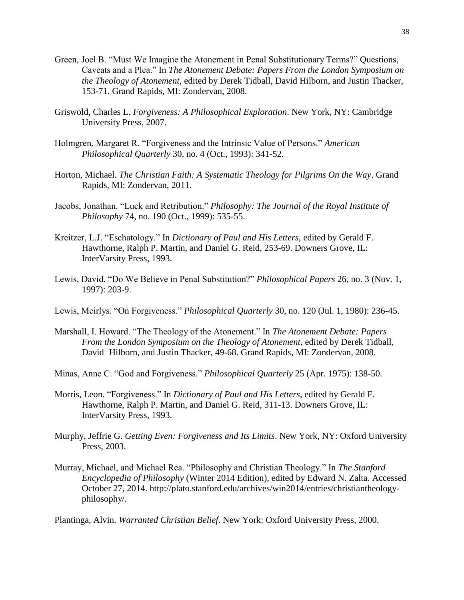- Green, Joel B. "Must We Imagine the Atonement in Penal Substitutionary Terms?" Questions, Caveats and a Plea." In *The Atonement Debate: Papers From the London Symposium on the Theology of Atonement*, edited by Derek Tidball, David Hilborn, and Justin Thacker, 153-71. Grand Rapids, MI: Zondervan, 2008.
- Griswold, Charles L. *Forgiveness: A Philosophical Exploration*. New York, NY: Cambridge University Press, 2007.
- Holmgren, Margaret R. "Forgiveness and the Intrinsic Value of Persons." *American Philosophical Quarterly* 30, no. 4 (Oct., 1993): 341-52.
- Horton, Michael. *The Christian Faith: A Systematic Theology for Pilgrims On the Way*. Grand Rapids, MI: Zondervan, 2011.
- Jacobs, Jonathan. "Luck and Retribution." *Philosophy: The Journal of the Royal Institute of Philosophy* 74, no. 190 (Oct., 1999): 535-55.
- Kreitzer, L.J. "Eschatology." In *Dictionary of Paul and His Letters*, edited by Gerald F. Hawthorne, Ralph P. Martin, and Daniel G. Reid, 253-69. Downers Grove, IL: InterVarsity Press, 1993.
- Lewis, David. "Do We Believe in Penal Substitution?" *Philosophical Papers* 26, no. 3 (Nov. 1, 1997): 203-9.
- Lewis, Meirlys. "On Forgiveness." *Philosophical Quarterly* 30, no. 120 (Jul. 1, 1980): 236-45.
- Marshall, I. Howard. "The Theology of the Atonement." In *The Atonement Debate: Papers From the London Symposium on the Theology of Atonement*, edited by Derek Tidball, David Hilborn, and Justin Thacker, 49-68. Grand Rapids, MI: Zondervan, 2008.
- Minas, Anne C. "God and Forgiveness." *Philosophical Quarterly* 25 (Apr. 1975): 138-50.
- Morris, Leon. "Forgiveness." In *Dictionary of Paul and His Letters*, edited by Gerald F. Hawthorne, Ralph P. Martin, and Daniel G. Reid, 311-13. Downers Grove, IL: InterVarsity Press, 1993.
- Murphy, Jeffrie G. *Getting Even: Forgiveness and Its Limits*. New York, NY: Oxford University Press, 2003.
- Murray, Michael, and Michael Rea. "Philosophy and Christian Theology." In *The Stanford Encyclopedia of Philosophy* (Winter 2014 Edition), edited by Edward N. Zalta. Accessed October 27, 2014. http://plato.stanford.edu/archives/win2014/entries/christiantheologyphilosophy/.

Plantinga, Alvin. *Warranted Christian Belief*. New York: Oxford University Press, 2000.